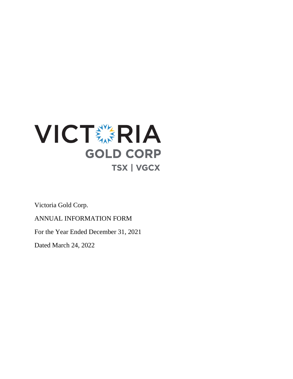

Victoria Gold Corp.

ANNUAL INFORMATION FORM

For the Year Ended December 31, 2021

Dated March 24, 2022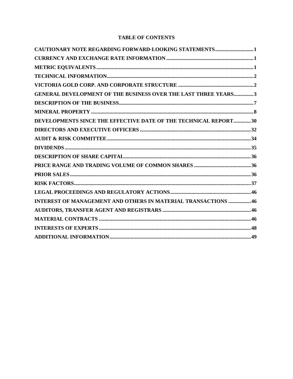# **TABLE OF CONTENTS**

| <b>CAUTIONARY NOTE REGARDING FORWARD-LOOKING STATEMENTS1</b>          |  |
|-----------------------------------------------------------------------|--|
|                                                                       |  |
|                                                                       |  |
|                                                                       |  |
|                                                                       |  |
| GENERAL DEVELOPMENT OF THE BUSINESS OVER THE LAST THREE YEARS3        |  |
|                                                                       |  |
|                                                                       |  |
| DEVELOPMENTS SINCE THE EFFECTIVE DATE OF THE TECHNICAL REPORT30       |  |
|                                                                       |  |
|                                                                       |  |
|                                                                       |  |
|                                                                       |  |
|                                                                       |  |
|                                                                       |  |
|                                                                       |  |
|                                                                       |  |
| <b>INTEREST OF MANAGEMENT AND OTHERS IN MATERIAL TRANSACTIONS  46</b> |  |
|                                                                       |  |
|                                                                       |  |
|                                                                       |  |
|                                                                       |  |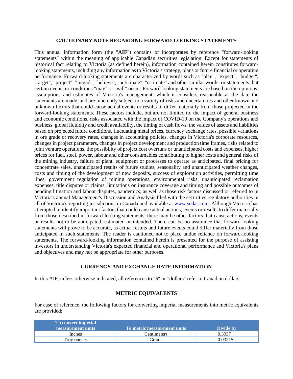#### **CAUTIONARY NOTE REGARDING FORWARD-LOOKING STATEMENTS**

<span id="page-2-0"></span>This annual information form (the "**AIF**") contains or incorporates by reference "forward-looking statements" within the meaning of applicable Canadian securities legislation. Except for statements of historical fact relating to Victoria (as defined herein), information contained herein constitutes forwardlooking statements, including any information as to Victoria's strategy, plans or future financial or operating performance. Forward-looking statements are characterized by words such as "plan", "expect", "budget", "target", "project", "intend", "believe", "anticipate", "estimate" and other similar words, or statements that certain events or conditions "may" or "will" occur. Forward-looking statements are based on the opinions, assumptions and estimates of Victoria's management, which it considers reasonable at the date the statements are made, and are inherently subject to a variety of risks and uncertainties and other known and unknown factors that could cause actual events or results to differ materially from those projected in the forward-looking statements. These factors include, but are not limited to, the impact of general business and economic conditions, risks associated with the impact of COVID-19 on the Company's operations and business, global liquidity and credit availability, the timing of cash flows, the values of assets and liabilities based on projected future conditions, fluctuating metal prices, currency exchange rates, possible variations in ore grade or recovery rates, changes in accounting policies, changes in Victoria's corporate resources, changes in project parameters, changes in project development and production time frames, risks related to joint venture operations, the possibility of project cost overruns or unanticipated costs and expenses, higher prices for fuel, steel, power, labour and other consumables contributing to higher costs and general risks of the mining industry, failure of plant, equipment or processes to operate as anticipated, final pricing for concentrate sales, unanticipated results of future studies, seasonality and unanticipated weather changes, costs and timing of the development of new deposits, success of exploration activities, permitting time lines, government regulation of mining operations, environmental risks, unanticipated reclamation expenses, title disputes or claims, limitations on insurance coverage and timing and possible outcomes of pending litigation and labour disputes, pandemics, as well as those risk factors discussed or referred to in Victoria's annual Management's Discussion and Analysis filed with the securities regulatory authorities in all of Victoria's reporting jurisdictions in Canada and available at [www.sedar.com.](http://www.sedar.com/) Although Victoria has attempted to identify important factors that could cause actual actions, events or results to differ materially from those described in forward-looking statements, there may be other factors that cause actions, events or results not to be anticipated, estimated or intended. There can be no assurance that forward-looking statements will prove to be accurate, as actual results and future events could differ materially from those anticipated in such statements. The reader is cautioned not to place undue reliance on forward-looking statements. The forward-looking information contained herein is presented for the purpose of assisting investors in understanding Victoria's expected financial and operational performance and Victoria's plans and objectives and may not be appropriate for other purposes.

### **CURRENCY AND EXCHANGE RATE INFORMATION**

<span id="page-2-2"></span><span id="page-2-1"></span>In this AIF, unless otherwise indicated, all references to "\$" or "dollars" refer to Canadian dollars.

### **METRIC EQUIVALENTS**

For ease of reference, the following factors for converting imperial measurements into metric equivalents are provided:

| To convert imperial |                              |           |
|---------------------|------------------------------|-----------|
| measurement units   | 'To metric measurement units | Divide by |
| Inches              | Centimeters                  | 0.3937    |
| Trov ounces         | . <del>i</del> rams          | 0.03215   |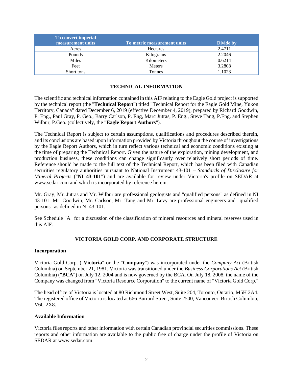| To convert imperial |                             |           |
|---------------------|-----------------------------|-----------|
| measurement units   | To metric measurement units | Divide by |
| Acres               | <b>Hectares</b>             | 2.4711    |
| Pounds              | Kilograms                   | 2.2046    |
| Miles               | Kilometers                  | 0.6214    |
| Feet                | <b>Meters</b>               | 3.2808    |
| Short tons          | Tonnes                      | .1023     |

# **TECHNICAL INFORMATION**

<span id="page-3-0"></span>The scientific and technical information contained in this AIF relating to the Eagle Gold project is supported by the technical report (the "**Technical Report**") titled "Technical Report for the Eagle Gold Mine, Yukon Territory, Canada" dated December 6, 2019 (effective December 4, 2019), prepared by Richard Goodwin, P. Eng., Paul Gray, P. Geo., Barry Carlson, P. Eng, Marc Jutras, P. Eng., Steve Tang, P.Eng. and Stephen Wilbur, P.Geo. (collectively, the "**Eagle Report Authors**").

The Technical Report is subject to certain assumptions, qualifications and procedures described therein, and its conclusions are based upon information provided by Victoria throughout the course of investigations by the Eagle Report Authors, which in turn reflect various technical and economic conditions existing at the time of preparing the Technical Report. Given the nature of the exploration, mining development, and production business, these conditions can change significantly over relatively short periods of time. Reference should be made to the full text of the Technical Report, which has been filed with Canadian securities regulatory authorities pursuant to National Instrument 43-101 – *Standards of Disclosure for Mineral Projects* ("**NI 43-101**") and are available for review under Victoria's profile on SEDAR at www.sedar.com and which is incorporated by reference herein.

Mr. Gray, Mr. Jutras and Mr. Wilbur are professional geologists and "qualified persons" as defined in NI 43-101. Mr. Goodwin, Mr. Carlson, Mr. Tang and Mr. Levy are professional engineers and "qualified persons" as defined in NI 43-101.

See Schedule "A" for a discussion of the classification of mineral resources and mineral reserves used in this AIF.

### **VICTORIA GOLD CORP. AND CORPORATE STRUCTURE**

#### <span id="page-3-1"></span>**Incorporation**

Victoria Gold Corp. ("**Victoria**" or the "**Company**") was incorporated under the *Company Act* (British Columbia) on September 21, 1981. Victoria was transitioned under the *Business Corporations Act* (British Columbia) ("**BCA**") on July 12, 2004 and is now governed by the BCA. On July 18, 2008, the name of the Company was changed from "Victoria Resource Corporation" to the current name of "Victoria Gold Corp."

The head office of Victoria is located at 80 Richmond Street West, Suite 204, Toronto, Ontario, M5H 2A4. The registered office of Victoria is located at 666 Burrard Street, Suite 2500, Vancouver, British Columbia, V6C 2X8.

#### **Available Information**

Victoria files reports and other information with certain Canadian provincial securities commissions. These reports and other information are available to the public free of charge under the profile of Victoria on SEDAR at www.sedar.com.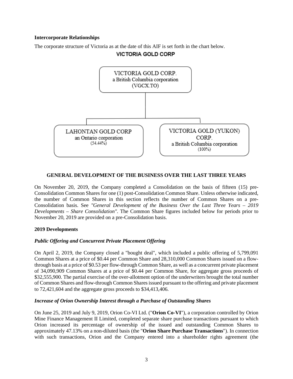### **Intercorporate Relationships**

The corporate structure of Victoria as at the date of this AIF is set forth in the chart below.

# VICTORIA GOLD CORP. a British Columbia corporation (VGCX.TO) VICTORIA GOLD (YUKON) **LAHONTAN GOLD CORP** an Ontario corporation CORP.  $(54.44\%)$ a British Columbia corporation  $(100\%)$

# **VICTORIA GOLD CORP**

# **GENERAL DEVELOPMENT OF THE BUSINESS OVER THE LAST THREE YEARS**

<span id="page-4-0"></span>On November 20, 2019, the Company completed a Consolidation on the basis of fifteen (15) pre-Consolidation Common Shares for one (1) post-Consolidation Common Share. Unless otherwise indicated, the number of Common Shares in this section reflects the number of Common Shares on a pre-Consolidation basis. See *"General Development of the Business Over the Last Three Years – 2019 Developments – Share Consolidation"*. The Common Share figures included below for periods prior to November 20, 2019 are provided on a pre-Consolidation basis.

# **2019 Developments**

# *Public Offering and Concurrent Private Placement Offering*

On April 2, 2019, the Company closed a "bought deal", which included a public offering of 5,799,091 Common Shares at a price of \$0.44 per Common Share and 28,310,000 Common Shares issued on a flowthrough basis at a price of \$0.53 per flow-through Common Share, as well as a concurrent private placement of 34,090,909 Common Shares at a price of \$0.44 per Common Share, for aggregate gross proceeds of \$32,555,900. The partial exercise of the over-allotment option of the underwriters brought the total number of Common Shares and flow-through Common Shares issued pursuant to the offering and private placement to 72,421,604 and the aggregate gross proceeds to \$34,413,406.

### *Increase of Orion Ownership Interest through a Purchase of Outstanding Shares*

On June 25, 2019 and July 9, 2019, Orion Co-VI Ltd. ("**Orion Co-VI**"), a corporation controlled by Orion Mine Finance Management II Limited, completed separate share purchase transactions pursuant to which Orion increased its percentage of ownership of the issued and outstanding Common Shares to approximately 47.13% on a non-diluted basis (the "**Orion Share Purchase Transactions**"). In connection with such transactions, Orion and the Company entered into a shareholder rights agreement (the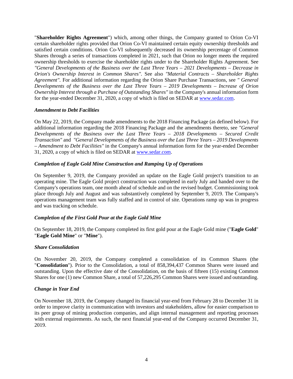"**Shareholder Rights Agreement**") which, among other things, the Company granted to Orion Co-VI certain shareholder rights provided that Orion Co-VI maintained certain equity ownership thresholds and satisfied certain conditions. Orion Co-VI subsequently decreased its ownership percentage of Common Shares through a series of transactions completed in 2021, such that Orion no longer meets the required ownership thresholds to exercise the shareholder rights under to the Shareholder Rights Agreement. See *"General Developments of the Business over the Last Three Years – 2021 Developments – Decrease in Orion's Ownership Interest in Common Shares".* See also *"Material Contracts – Shareholder Rights Agreement".* For additional information regarding the Orion Share Purchase Transactions, see *" General Developments of the Business over the Last Three Years – 2019 Developments – Increase of Orion Ownership Interest through a Purchase of Outstanding Shares"* in the Company's annual information form for the year-ended December 31, 2020, a copy of which is filed on SEDAR at [www.sedar.com.](http://www.sedar.com/)

#### *Amendment to Debt Facilities*

On May 22, 2019, the Company made amendments to the 2018 Financing Package (as defined below). For additional information regarding the 2018 Financing Package and the amendments thereto, see *"General Developments of the Business over the Last Three Years – 2018 Developments – Secured Credit Transaction"* and *"General Developments of the Business over the Last Three Years – 2019 Developments – Amendment to Debt Facilities"* in the Company's annual information form for the year-ended December 31, 2020, a copy of which is filed on SEDAR at [www.sedar.com.](http://www.sedar.com/)

### *Completion of Eagle Gold Mine Construction and Ramping Up of Operations*

On September 9, 2019, the Company provided an update on the Eagle Gold project's transition to an operating mine. The Eagle Gold project construction was completed in early July and handed over to the Company's operations team, one month ahead of schedule and on the revised budget. Commissioning took place through July and August and was substantively completed by September 9, 2019. The Company's operations management team was fully staffed and in control of site. Operations ramp up was in progress and was tracking on schedule.

### *Completion of the First Gold Pour at the Eagle Gold Mine*

On September 18, 2019, the Company completed its first gold pour at the Eagle Gold mine ("**Eagle Gold**" "**Eagle Gold Mine**" or "**Mine**").

### *Share Consolidation*

On November 20, 2019, the Company completed a consolidation of its Common Shares (the "**Consolidation**"). Prior to the Consolidation, a total of 858,394,437 Common Shares were issued and outstanding. Upon the effective date of the Consolidation, on the basis of fifteen (15) existing Common Shares for one (1) new Common Share, a total of 57,226,295 Common Shares were issued and outstanding.

#### *Change in Year End*

On November 18, 2019, the Company changed its financial year-end from February 28 to December 31 in order to improve clarity in communication with investors and stakeholders, allow for easier comparison to its peer group of mining production companies, and align internal management and reporting processes with external requirements. As such, the next financial year-end of the Company occurred December 31, 2019.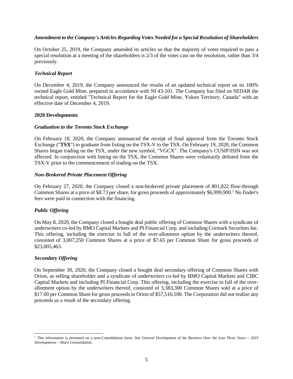#### *Amendment to the Company's Articles Regarding Votes Needed for a Special Resolution of Shareholders*

On October 25, 2019, the Company amended its articles so that the majority of votes required to pass a special resolution at a meeting of the shareholders is 2/3 of the votes cast on the resolution, rather than 3/4 previously.

#### *Technical Report*

On December 4, 2019, the Company announced the results of an updated technical report on its 100% owned Eagle Gold Mine, prepared in accordance with NI 43-101. The Company has filed on SEDAR the technical report, entitled "Technical Report for the Eagle Gold Mine, Yukon Territory, Canada" with an effective date of December 4, 2019.

#### **2020 Developments**

### *Graduation to the Toronto Stock Exchange*

On February 18, 2020, the Company announced the receipt of final approval from the Toronto Stock Exchange ("**TSX**") to graduate from listing on the TSX-V to the TSX. On February 19, 2020, the Common Shares began trading on the TSX, under the new symbol, "VGCX". The Company's CUSIP/ISIN was not affected. In conjunction with listing on the TSX, the Common Shares were voluntarily delisted from the TSX-V prior to the commencement of trading on the TSX.

### *Non-Brokered Private Placement Offering*

On February 27, 2020, the Company closed a non-brokered private placement of 801,822 flow-through Common Shares at a price of \$8.73 per share, for gross proceeds of approximately \$6,999,900. [1](#page-6-0) No finder's fees were paid in connection with the financing.

### *Public Offering*

On May 8, 2020, the Company closed a bought deal public offering of Common Shares with a syndicate of underwriters co-led by BMO Capital Markets and PI Financial Corp. and including Cormark Securities Inc. This offering, including the exercise in full of the over-allotment option by the underwriters thereof, consisted of 3,007,250 Common Shares at a price of \$7.65 per Common Share for gross proceeds of \$23,005,463.

### *Secondary Offering*

On September 30, 2020, the Company closed a bought deal secondary offering of Common Shares with Orion, as selling shareholder and a syndicate of underwriters co-led by BMO Capital Markets and CIBC Capital Markets and including PI Financial Corp. This offering, including the exercise in full of the overallotment option by the underwriters thereof, consisted of 3,383,300 Common Shares sold at a price of \$17.00 per Common Share for gross proceeds to Orion of \$57,516,100. The Corporation did not realize any proceeds as a result of the secondary offering.

<span id="page-6-0"></span><sup>1</sup> This information is presented on a post-Consolidation basis. See *General Development of the Business Over the Last Three Years – 2019 Developments – Share Consolidation*.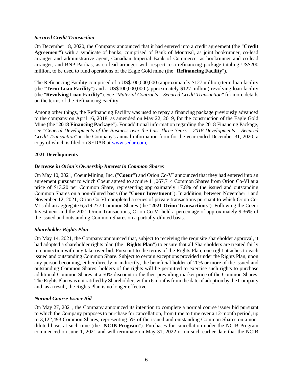### *Secured Credit Transaction*

On December 18, 2020, the Company announced that it had entered into a credit agreement (the "**Credit Agreemen**t") with a syndicate of banks, comprised of Bank of Montreal, as joint bookrunner, co-lead arranger and administrative agent, Canadian Imperial Bank of Commerce, as bookrunner and co-lead arranger, and BNP Paribas, as co-lead arranger with respect to a refinancing package totaling US\$200 million, to be used to fund operations of the Eagle Gold mine (the "**Refinancing Facility**").

The Refinancing Facility comprised of a US\$100,000,000 (approximately \$127 million) term loan facility (the "**Term Loan Facility**") and a US\$100,000,000 (approximately \$127 million) revolving loan facility (the "**Revolving Loan Facility**"). See *"Material Contracts – Secured Credit Transaction"* for more details on the terms of the Refinancing Facility.

Among other things, the Refinancing Facility was used to repay a financing package previously advanced to the company on April 16, 2018, as amended on May 22, 2019, for the construction of the Eagle Gold Mine (the "**2018 Financing Package**"). For additional information regarding the 2018 Financing Package, see *"General Developments of the Business over the Last Three Years – 2018 Developments – Secured Credit Transaction"* in the Company's annual information form for the year-ended December 31, 2020, a copy of which is filed on SEDAR at [www.sedar.com.](http://www.sedar.com/)

### **2021 Developments**

### *Decrease in Orion's Ownership Interest in Common Shares*

On May 10, 2021, Coeur Mining, Inc. ("**Coeur**") and Orion Co-VI announced that they had entered into an agreement pursuant to which Coeur agreed to acquire 11,067,714 Common Shares from Orion Co-VI at a price of \$13.20 per Common Share, representing approximately 17.8% of the issued and outstanding Common Shares on a non-diluted basis (the "**Coeur Investment**"). In addition, between November 1 and November 12, 2021, Orion Co-VI completed a series of private transactions pursuant to which Orion Co-VI sold an aggregate 6,519,277 Common Shares (the "**2021 Orion Transactions**"). Following the Coeur Investment and the 2021 Orion Transactions, Orion Co-VI held a percentage of approximately 9.36% of the issued and outstanding Common Shares on a partially-diluted basis.

# *Shareholder Rights Plan*

On May 14, 2021, the Company announced that, subject to receiving the requisite shareholder approval, it had adopted a shareholder rights plan (the "**Rights Plan**") to ensure that all Shareholders are treated fairly in connection with any take-over bid. Pursuant to the terms of the Rights Plan, one right attaches to each issued and outstanding Common Share. Subject to certain exceptions provided under the Rights Plan, upon any person becoming, either directly or indirectly, the beneficial holder of 20% or more of the issued and outstanding Common Shares, holders of the rights will be permitted to exercise such rights to purchase additional Common Shares at a 50% discount to the then prevailing market price of the Common Shares. The Rights Plan was not ratified by Shareholders within 6 months from the date of adoption by the Company and, as a result, the Rights Plan is no longer effective.

# *Normal Course Issuer Bid*

On May 27, 2021, the Company announced its intention to complete a normal course issuer bid pursuant to which the Company proposes to purchase for cancellation, from time to time over a 12-month period, up to 3,122,493 Common Shares, representing 5% of the issued and outstanding Common Shares on a nondiluted basis at such time (the "**NCIB Program**"). Purchases for cancellation under the NCIB Program commenced on June 1, 2021 and will terminate on May 31, 2022 or on such earlier date that the NCIB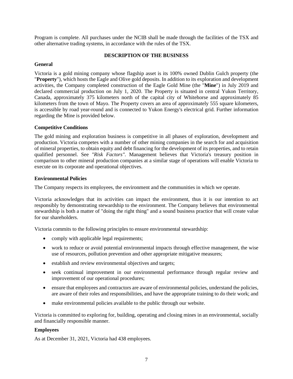Program is complete. All purchases under the NCIB shall be made through the facilities of the TSX and other alternative trading systems, in accordance with the rules of the TSX.

#### **DESCRIPTION OF THE BUSINESS**

#### <span id="page-8-0"></span>**General**

Victoria is a gold mining company whose flagship asset is its 100% owned Dublin Gulch property (the "**Property**"), which hosts the Eagle and Olive gold deposits. In addition to its exploration and development activities, the Company completed construction of the Eagle Gold Mine (the "**Mine**") in July 2019 and declared commercial production on July 1, 2020. The Property is situated in central Yukon Territory, Canada, approximately 375 kilometers north of the capital city of Whitehorse and approximately 85 kilometers from the town of Mayo. The Property covers an area of approximately 555 square kilometers, is accessible by road year-round and is connected to Yukon Energy's electrical grid. Further information regarding the Mine is provided below.

#### **Competitive Conditions**

The gold mining and exploration business is competitive in all phases of exploration, development and production. Victoria competes with a number of other mining companies in the search for and acquisition of mineral properties, to obtain equity and debt financing for the development of its properties, and to retain qualified personnel. See *"Risk Factors"*. Management believes that Victoria's treasury position in comparison to other mineral production companies at a similar stage of operations will enable Victoria to execute on its corporate and operational objectives.

#### **Environmental Policies**

The Company respects its employees, the environment and the communities in which we operate.

Victoria acknowledges that its activities can impact the environment, thus it is our intention to act responsibly by demonstrating stewardship to the environment. The Company believes that environmental stewardship is both a matter of "doing the right thing" and a sound business practice that will create value for our shareholders.

Victoria commits to the following principles to ensure environmental stewardship:

- comply with applicable legal requirements;
- work to reduce or avoid potential environmental impacts through effective management, the wise use of resources, pollution prevention and other appropriate mitigative measures;
- establish and review environmental objectives and targets;
- seek continual improvement in our environmental performance through regular review and improvement of our operational procedures;
- ensure that employees and contractors are aware of environmental policies, understand the policies, are aware of their roles and responsibilities, and have the appropriate training to do their work; and
- make environmental policies available to the public through our website.

Victoria is committed to exploring for, building, operating and closing mines in an environmental, socially and financially responsible manner.

#### **Employees**

As at December 31, 2021, Victoria had 438 employees.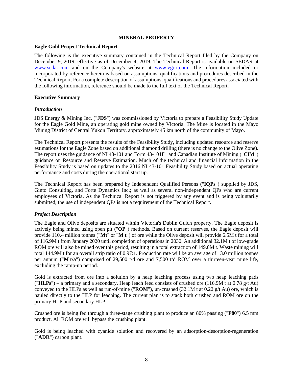#### **MINERAL PROPERTY**

#### <span id="page-9-0"></span>**Eagle Gold Project Technical Report**

The following is the executive summary contained in the Technical Report filed by the Company on December 9, 2019, effective as of December 4, 2019. The Technical Report is available on SEDAR at [www.sedar.com](http://www.sedar.com/) and on the Company's website at [www.vgcx.com.](http://www.vgcx.com/) The information included or incorporated by reference herein is based on assumptions, qualifications and procedures described in the Technical Report. For a complete description of assumptions, qualifications and procedures associated with the following information, reference should be made to the full text of the Technical Report.

### **Executive Summary**

#### *Introduction*

JDS Energy & Mining Inc. ("**JDS**") was commissioned by Victoria to prepare a Feasibility Study Update for the Eagle Gold Mine, an operating gold mine owned by Victoria. The Mine is located in the Mayo Mining District of Central Yukon Territory, approximately 45 km north of the community of Mayo.

The Technical Report presents the results of the Feasibility Study, including updated resource and reserve estimations for the Eagle Zone based on additional diamond drilling (there is no change to the Olive Zone). The report uses the guidance of NI 43-101 and Form 43-101F1 and Canadian Institute of Mining ("**CIM**") guidance on Resource and Reserve Estimation. Much of the technical and financial information in the Feasibility Study is based on updates to the 2016 NI 43-101 Feasibility Study based on actual operating performance and costs during the operational start up.

The Technical Report has been prepared by Independent Qualified Persons ("**IQPs**") supplied by JDS, Ginto Consulting, and Forte Dynamics Inc.; as well as several non-independent QPs who are current employees of Victoria. As the Technical Report is not triggered by any event and is being voluntarily submitted, the use of independent QPs is not a requirement of the Technical Report.

### *Project Description*

The Eagle and Olive deposits are situated within Victoria's Dublin Gulch property. The Eagle deposit is actively being mined using open pit ("**OP**") methods. Based on current reserves, the Eagle deposit will provide 110.4 million tonnes ("**Mt**" or "**M t**") of ore while the Olive deposit will provide 6.5M t for a total of 116.9M t from January 2020 until completion of operations in 2030. An additional 32.1M t of low-grade ROM ore will also be mined over this period, resulting in a total extraction of 149.0M t. Waste mining will total 144.9M t for an overall strip ratio of 0.97:1. Production rate will be an average of 13.0 million tonnes per annum ("**M t/a**") comprised of 29,500 t/d ore and 7,500 t/d ROM over a thirteen-year mine life, excluding the ramp-up period.

Gold is extracted from ore into a solution by a heap leaching process using two heap leaching pads ("**HLPs**") – a primary and a secondary. Heap leach feed consists of crushed ore (116.9M t at 0.78  $g/t$  Au) conveyed to the HLPs as well as run-of-mine ("**ROM**"), un-crushed (32.1M t at 0.22 g/t Au) ore, which is hauled directly to the HLP for leaching. The current plan is to stack both crushed and ROM ore on the primary HLP and secondary HLP.

Crushed ore is being fed through a three-stage crushing plant to produce an 80% passing ("**P80**") 6.5 mm product. All ROM ore will bypass the crushing plant.

Gold is being leached with cyanide solution and recovered by an adsorption-desorption-regeneration ("**ADR**") carbon plant.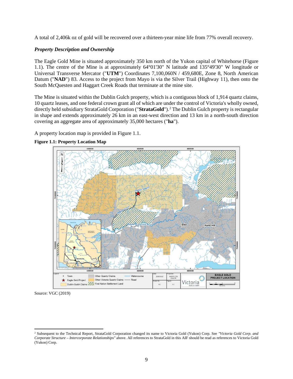A total of 2,406k oz of gold will be recovered over a thirteen-year mine life from 77% overall recovery.

### *Property Description and Ownership*

The Eagle Gold Mine is situated approximately 350 km north of the Yukon capital of Whitehorse (Figure 1.1). The centre of the Mine is at approximately 64°01'30" N latitude and 135°49'30" W longitude or Universal Transverse Mercator ("**UTM**") Coordinates 7,100,060N / 459,680E, Zone 8, North American Datum ("**NAD**") 83. Access to the project from Mayo is via the Silver Trail (Highway 11), then onto the South McQuesten and Haggart Creek Roads that terminate at the mine site.

The Mine is situated within the Dublin Gulch property, which is a contiguous block of 1,914 quartz claims, 10 quartz leases, and one federal crown grant all of which are under the control of Victoria's wholly owned, directly held subsidiary StrataGold Corporation ("**StrataGold**").[2](#page-10-0) The Dublin Gulch property is rectangular in shape and extends approximately 26 km in an east-west direction and 13 km in a north-south direction covering an aggregate area of approximately 35,000 hectares ("**ha**").

A property location map is provided in Figure 1.1.



#### **Figure 1.1: Property Location Map**

Source: VGC (2019)

<span id="page-10-0"></span><sup>2</sup> Subsequent to the Technical Report, StrataGold Corporation changed its name to Victoria Gold (Yukon) Corp. See *"Victoria Gold Corp. and Corporate Structure – Intercorporate Relationships"* above. All references to StrataGold in this AIF should be read as references to Victoria Gold (Yukon) Corp.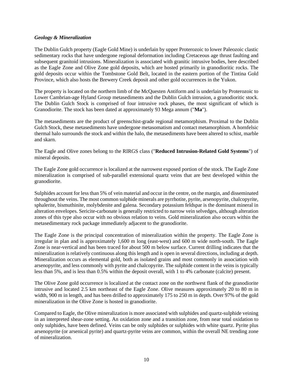#### *Geology & Mineralization*

The Dublin Gulch property (Eagle Gold Mine) is underlain by upper Proterozoic to lower Paleozoic clastic sedimentary rocks that have undergone regional deformation including Cretaceous age thrust faulting and subsequent granitoid intrusions. Mineralization is associated with granitic intrusive bodies, here described as the Eagle Zone and Olive Zone gold deposits, which are hosted primarily in granodioritic rocks. The gold deposits occur within the Tombstone Gold Belt, located in the eastern portion of the Tintina Gold Province, which also hosts the Brewery Creek deposit and other gold occurrences in the Yukon.

The property is located on the northern limb of the McQuesten Antiform and is underlain by Proterozoic to Lower Cambrian-age Hyland Group metasediments and the Dublin Gulch intrusion, a granodioritic stock. The Dublin Gulch Stock is comprised of four intrusive rock phases, the most significant of which is Granodiorite. The stock has been dated at approximately 93 Mega annum ("**Ma**").

The metasediments are the product of greenschist-grade regional metamorphism. Proximal to the Dublin Gulch Stock, these metasediments have undergone metasomatism and contact metamorphism. A hornfelsic thermal halo surrounds the stock and within the halo, the metasediments have been altered to schist, marble and skarn.

The Eagle and Olive zones belong to the RIRGS class ("**Reduced Intrusion-Related Gold Systems**") of mineral deposits.

The Eagle Zone gold occurrence is localized at the narrowest exposed portion of the stock. The Eagle Zone mineralization is comprised of sub-parallel extensional quartz veins that are best developed within the granodiorite.

Sulphides account for less than 5% of vein material and occur in the centre, on the margin, and disseminated throughout the veins. The most common sulphide minerals are pyrrhotite, pyrite, arsenopyrite, chalcopyrite, sphalerite, bismuthinite, molybdenite and galena. Secondary potassium feldspar is the dominant mineral in alteration envelopes. Sericite-carbonate is generally restricted to narrow vein selvedges, although alteration zones of this type also occur with no obvious relation to veins. Gold mineralization also occurs within the metasedimentary rock package immediately adjacent to the granodiorite.

The Eagle Zone is the principal concentration of mineralization within the property. The Eagle Zone is irregular in plan and is approximately 1,600 m long (east-west) and 600 m wide north-south. The Eagle Zone is near-vertical and has been traced for about 500 m below surface. Current drilling indicates that the mineralization is relatively continuous along this length and is open in several directions, including at depth. Mineralization occurs as elemental gold, both as isolated grains and most commonly in association with arsenopyrite, and less commonly with pyrite and chalcopyrite. The sulphide content in the veins is typically less than 5%, and is less than 0.5% within the deposit overall, with 1 to 4% carbonate (calcite) present.

The Olive Zone gold occurrence is localized at the contact zone on the northwest flank of the granodiorite intrusive and located 2.5 km northeast of the Eagle Zone. Olive measures approximately 20 to 80 m in width, 900 m in length, and has been drilled to approximately 175 to 250 m in depth. Over 97% of the gold mineralization in the Olive Zone is hosted in granodiorite.

Compared to Eagle, the Olive mineralization is more associated with sulphides and quartz-sulphide veining in an interpreted shear-zone setting. An oxidation zone and a transition zone, from near total oxidation to only sulphides, have been defined. Veins can be only sulphides or sulphides with white quartz. Pyrite plus arsenopyrite (or arsenical pyrite) and quartz-pyrite veins are common, within the overall NE trending zone of mineralization.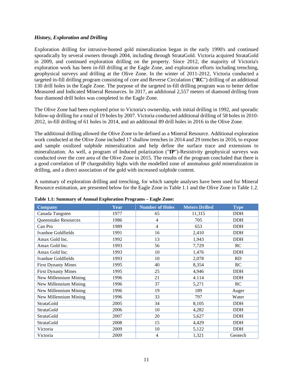### *History, Exploration and Drilling*

Exploration drilling for intrusive-hosted gold mineralization began in the early 1990's and continued sporadically by several owners through 2004, including through StrataGold. Victoria acquired StrataGold in 2009, and continued exploration drilling on the property. Since 2012, the majority of Victoria's exploration work has been in-fill drilling at the Eagle Zone, and exploration efforts including trenching, geophysical surveys and drilling at the Olive Zone. In the winter of 2011-2012, Victoria conducted a targeted in-fill drilling program consisting of core and Reverse Circulation ("**RC**") drilling of an additional 130 drill holes in the Eagle Zone. The purpose of the targeted in-fill drilling program was to better define Measured and Indicated Mineral Resources. In 2017, an additional 2,557 meters of diamond drilling from four diamond drill holes was completed in the Eagle Zone.

The Olive Zone had been explored prior to Victoria's ownership, with initial drilling in 1992, and sporadic follow-up drilling for a total of 19 holes by 2007. Victoria conducted additional drilling of 58 holes in 2010- 2012, in-fill drilling of 61 holes in 2014, and an additional 89 drill holes in 2016 in the Olive Zone.

The additional drilling allowed the Olive Zone to be defined as a Mineral Resource. Additional exploration work conducted at the Olive Zone included 17 shallow trenches in 2014 and 29 trenches in 2016, to expose and sample oxidized sulphide mineralization and help define the surface trace and extensions to mineralization. As well, a program of Induced polarization ("**IP**")-Resistivity geophysical surveys was conducted over the core area of the Olive Zone in 2015. The results of the program concluded that there is a good correlation of IP chargeability highs with the modelled zone of anomalous gold mineralization in drilling, and a direct association of the gold with increased sulphide content.

A summary of exploration drilling and trenching, for which sample analyses have been used for Mineral Resource estimation, are presented below for the Eagle Zone in Table 1.1 and the Olive Zone in Table 1.2.

| <b>Company</b>             | Year | <b>Number of Holes</b> | <b>Meters Drilled</b> | <b>Type</b> |
|----------------------------|------|------------------------|-----------------------|-------------|
| Canada Tungsten            | 1977 | 65                     | 11,315                | <b>DDH</b>  |
| Queenstake Resources       | 1986 | 4                      | 705                   | <b>DDH</b>  |
| Can Pro                    | 1989 | $\overline{4}$         | 653                   | <b>DDH</b>  |
| <b>Ivanhoe Goldfields</b>  | 1991 | 16                     | 2,410                 | <b>DDH</b>  |
| Amax Gold Inc.             | 1992 | 13                     | 1,943                 | <b>DDH</b>  |
| Amax Gold Inc.             | 1993 | 56                     | 7,729                 | RC          |
| Amax Gold Inc.             | 1993 | 10                     | 1,476                 | <b>DDH</b>  |
| <b>Ivanhoe Goldfields</b>  | 1993 | 10                     | 2,078                 | <b>RD</b>   |
| <b>First Dynasty Mines</b> | 1995 | 40                     | 8,354                 | RC          |
| <b>First Dynasty Mines</b> | 1995 | 25                     | 4,946                 | <b>DDH</b>  |
| New Millennium Mining      | 1996 | 21                     | 4.114                 | <b>DDH</b>  |
| New Millennium Mining      | 1996 | 37                     | 5,271                 | RC          |
| New Millennium Mining      | 1996 | 19                     | 189                   | Auger       |
| New Millennium Mining      | 1996 | 33                     | 797                   | Water       |
| StrataGold                 | 2005 | 34                     | 8,105                 | <b>DDH</b>  |
| StrataGold                 | 2006 | 10                     | 4,282                 | <b>DDH</b>  |
| StrataGold                 | 2007 | 20                     | 5,627                 | <b>DDH</b>  |
| StrataGold                 | 2008 | 15                     | 4,429                 | DDH         |
| Victoria                   | 2009 | 10                     | 5,122                 | <b>DDH</b>  |
| Victoria                   | 2009 | $\overline{4}$         | 1,321                 | Geotech     |

| Table 1.1: Summary of Annual Exploration Programs - Eagle Zone: |  |  |  |  |  |  |
|-----------------------------------------------------------------|--|--|--|--|--|--|
|-----------------------------------------------------------------|--|--|--|--|--|--|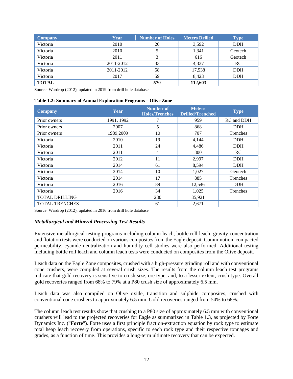| <b>Company</b> | Year      | <b>Number of Holes</b> | <b>Meters Drilled</b> | <b>Type</b> |
|----------------|-----------|------------------------|-----------------------|-------------|
| Victoria       | 2010      | 20                     | 3,592                 | <b>DDH</b>  |
| Victoria       | 2010      |                        | 1,341                 | Geotech     |
| Victoria       | 2011      |                        | 616                   | Geotech     |
| Victoria       | 2011-2012 | 33                     | 4.337                 | RC          |
| Victoria       | 2011-2012 | 58                     | 17,538                | <b>DDH</b>  |
| Victoria       | 2017      | 59                     | 8.423                 | <b>DDH</b>  |
| <b>TOTAL</b>   |           | 570                    | 112,603               |             |

Source: Wardrop (2012), updated in 2019 from drill hole database

| Table 1.2: Summary of Annual Exploration Programs - Olive Zone |  |  |
|----------------------------------------------------------------|--|--|
|                                                                |  |  |

| <b>Company</b>        | Year       | Number of<br><b>Holes/Trenches</b> | <b>Meters</b><br><b>Drilled/Trenched</b> | <b>Type</b> |
|-----------------------|------------|------------------------------------|------------------------------------------|-------------|
| Prior owners          | 1991, 1992 |                                    | 959                                      | RC and DDH  |
| Prior owners          | 2007       | 5                                  | 868                                      | <b>DDH</b>  |
| Prior owners          | 1989,2009  | 10                                 | 707                                      | Trenches    |
| Victoria              | 2010       | 19                                 | 4,144                                    | <b>DDH</b>  |
| Victoria              | 2011       | 24                                 | 4,486                                    | <b>DDH</b>  |
| Victoria              | 2011       | 4                                  | 300                                      | RC          |
| Victoria              | 2012       | 11                                 | 2,997                                    | <b>DDH</b>  |
| Victoria              | 2014       | 61                                 | 8,594                                    | <b>DDH</b>  |
| Victoria              | 2014       | 10                                 | 1,027                                    | Geotech     |
| Victoria              | 2014       | 17                                 | 885                                      | Trenches    |
| Victoria              | 2016       | 89                                 | 12,546                                   | <b>DDH</b>  |
| Victoria              | 2016       | 34                                 | 1,025                                    | Trenches    |
| <b>TOTAL DRILLING</b> |            | 230                                | 35,921                                   |             |
| <b>TOTAL TRENCHES</b> |            | 61                                 | 2,671                                    |             |

Source: Wardrop (2012), updated in 2016 from drill hole database

### *Metallurgical and Mineral Processing Test Results*

Extensive metallurgical testing programs including column leach, bottle roll leach, gravity concentration and flotation tests were conducted on various composites from the Eagle deposit. Comminution, compacted permeability, cyanide neutralization and humidity cell studies were also performed. Additional testing including bottle roll leach and column leach tests were conducted on composites from the Olive deposit.

Leach data on the Eagle Zone composites, crushed with a high-pressure grinding roll and with conventional cone crushers, were compiled at several crush sizes. The results from the column leach test programs indicate that gold recovery is sensitive to crush size, ore type, and, to a lesser extent, crush type. Overall gold recoveries ranged from 68% to 79% at a P80 crush size of approximately 6.5 mm.

Leach data was also compiled on Olive oxide, transition and sulphide composites, crushed with conventional cone crushers to approximately 6.5 mm. Gold recoveries ranged from 54% to 68%.

The column leach test results show that crushing to a P80 size of approximately 6.5 mm with conventional crushers will lead to the projected recoveries for Eagle as summarized in Table 1.3, as projected by Forte Dynamics Inc. ("**Forte**"). Forte uses a first principle fraction-extraction equation by rock type to estimate total heap leach recovery from operations, specific to each rock type and their respective tonnages and grades, as a function of time. This provides a long-term ultimate recovery that can be expected.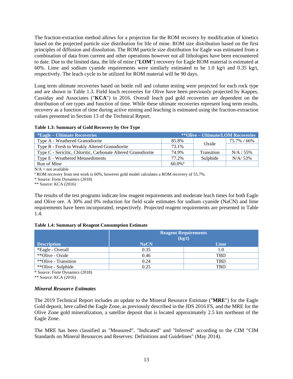The fraction-extraction method allows for a projection for the ROM recovery by modification of kinetics based on the projected particle size distribution for life of mine. ROM size distribution based on the first principles of diffusion and dissolution. The ROM particle size distribution for Eagle was estimated from a combination of data from current and other operations however not all lithologies have been encountered to date. Due to the limited data, the life of mine ("**LOM**") recovery for Eagle ROM material is estimated at 60%. Lime and sodium cyanide requirements were similarly estimated to be 1.0 kg/t and 0.35 kg/t, respectively. The leach cycle to be utilized for ROM material will be 90 days.

Long term ultimate recoveries based on bottle roll and column testing were projected for each rock type and are shown in Table 1.3. Field leach recoveries for Olive have been previously projected by Kappes, Cassiday and Associates ("**KCA**") in 2016. Overall leach pad gold recoveries are dependent on the distribution of ore types and function of time. While these ultimate recoveries represent long term results, recovery as a function of time during active mining and leaching is estimated using the fraction-extraction values presented in Section 13 of the Technical Report.

#### **Table 1.3: Summary of Gold Recovery by Ore Type**

| <b>Eagle – Ultimate Recoveries</b>                            |                       |                   |              |
|---------------------------------------------------------------|-----------------------|-------------------|--------------|
| Type A - Weathered Granodiorite                               | 85.8%                 | Oxide             | 75.7% / 66%  |
| Type B - Fresh to Weakly Altered Granodiorite                 | 73.1%                 |                   |              |
| Type C - Sericitic, Chloritic, Carbonate Altered Granodiorite | 74.9%                 | <b>Transition</b> | $N/A / 55\%$ |
| Type E - Weathered Metasediments                              | 77.2%                 | Sulphide          | N/A/53%      |
| Run of Mine                                                   | $60.0\%$ <sup>a</sup> |                   |              |

 $N/A$  = not available

ª ROM recovery from test work is 60%, however gold model calculates a ROM recovery of 55.7%.

\* Source: Forte Dynamics (2018)

\*\* Source: KCA (2016)

The results of the test programs indicate low reagent requirements and moderate leach times for both Eagle and Olive ore. A 30% and 0% reduction for field scale estimates for sodium cyanide (NaCN) and lime requirements have been incorporated, respectively. Projected reagent requirements are presented in Table 1.4.

#### **Table 1.4: Summary of Reagent Consumption Estimate**

|                      | <b>Reagent Requirements</b><br>(kg/t) |             |  |  |
|----------------------|---------------------------------------|-------------|--|--|
| <b>Description</b>   | <b>NaCN</b>                           | <b>Lime</b> |  |  |
| *Eagle - Overall     | 0.35                                  | 1.0         |  |  |
| **Olive - Oxide      | 0.46                                  | <b>TBD</b>  |  |  |
| **Olive - Transition | 0.24                                  | <b>TBD</b>  |  |  |
| **Olive - Sulphide   | 0.25                                  | <b>TBD</b>  |  |  |

\* Source: Forte Dynamics (2018)

\*\* Source: KCA (2016)

### *Mineral Resource Estimates*

The 2019 Technical Report includes an update to the Mineral Resource Estimate ("**MRE**") for the Eagle Gold deposit, here called the Eagle Zone, as previously described in the JDS 2016 FS, and the MRE for the Olive Zone gold mineralization, a satellite deposit that is located approximately 2.5 km northeast of the Eagle Zone.

The MRE has been classified as "Measured", "Indicated" and "Inferred" according to the CIM "CIM Standards on Mineral Resources and Reserves: Definitions and Guidelines" (May 2014).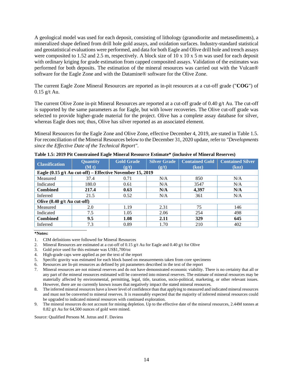A geological model was used for each deposit, consisting of lithology (granodiorite and metasediments), a mineralized shape defined from drill hole gold assays, and oxidation surfaces. Industry-standard statistical and geostatistical evaluations were performed, and data for both Eagle and Olive drill hole and trench assays were composited to 1.52 and 2.5 m, respectively. A block size of 10 x 10 x 5 m was used for each deposit with ordinary kriging for grade estimation from capped composited assays. Validation of the estimates was performed for both deposits. The estimation of the mineral resources was carried out with the Vulcan® software for the Eagle Zone and with the Datamine® software for the Olive Zone.

The current Eagle Zone Mineral Resources are reported as in-pit resources at a cut-off grade ("**COG**") of 0.15 g/t Au.

The current Olive Zone in-pit Mineral Resources are reported at a cut-off grade of 0.40 g/t Au. The cut-off is supported by the same parameters as for Eagle, but with lower recoveries. The Olive cut-off grade was selected to provide higher-grade material for the project. Olive has a complete assay database for silver, whereas Eagle does not; thus, Olive has silver reported as an associated element.

Mineral Resources for the Eagle Zone and Olive Zone, effective December 4, 2019, are stated in Table 1.5. For reconciliation of the Mineral Resources below to the December 31, 2020 update, refer to *"Developments since the Effective Date of the Technical Report".*

| <b>Classification</b>                 | <b>Quantity</b><br>(M t)                                  | <b>Gold Grade</b><br>(g/t) | <b>Silver Grade</b><br>(g/t) | <b>Contained Gold</b><br>(koz) | <b>Contained Silver</b><br>(koz) |  |  |  |
|---------------------------------------|-----------------------------------------------------------|----------------------------|------------------------------|--------------------------------|----------------------------------|--|--|--|
|                                       | Eagle (0.15 g/t Au cut-off) - Effective November 15, 2019 |                            |                              |                                |                                  |  |  |  |
| Measured                              | 37.4                                                      | 0.71                       | N/A                          | 850                            | N/A                              |  |  |  |
| Indicated                             | 180.0                                                     | 0.61                       | N/A                          | 3547                           | N/A                              |  |  |  |
| <b>Combined</b>                       | 217.4                                                     | 0.63                       | N/A                          | 4,397                          | N/A                              |  |  |  |
| Inferred                              | 21.5                                                      | 0.52                       | N/A                          | 361                            | N/A                              |  |  |  |
| Olive $(0.40 \text{ g/t}$ Au cut-off) |                                                           |                            |                              |                                |                                  |  |  |  |
| Measured                              | 2.0                                                       | 1.19                       | 2.31                         | 75                             | 146                              |  |  |  |
| Indicated                             | 7.5                                                       | 1.05                       | 2.06                         | 254                            | 498                              |  |  |  |
| <b>Combined</b>                       | 9.5                                                       | 1.08                       | 2.11                         | 329                            | 645                              |  |  |  |
| Inferred                              | 7.3                                                       | 0.89                       | 1.70                         | 210                            | 402                              |  |  |  |

|  | Table 1.5: 2019 Pit Constrained Eagle Mineral Resource Estimate* (inclusive of Mineral Reserves) |  |
|--|--------------------------------------------------------------------------------------------------|--|
|  |                                                                                                  |  |

**\*Notes:**

- 2. Mineral Resources are estimated at a cut-off of 0.15 g/t Au for Eagle and 0.40 g/t for Olive
- 3. Gold price used for this estimate was US\$1,700/oz
- 4. High-grade caps were applied as per the text of the report
- 5. Specific gravity was estimated for each block based on measurements taken from core specimens
- 6. Resources are In-pit resources as defined by pit parameters described in the text of the report
- 7. Mineral resources are not mineral reserves and do not have demonstrated economic viability. There is no certainty that all or any part of the mineral resources estimated will be converted into mineral reserves. The estimate of mineral resources may be materially affected by environmental, permitting, legal, title, taxation, socio-political, marketing, or other relevant issues. However, there are no currently known issues that negatively impact the stated mineral resources.
- 8. The inferred mineral resources have a lower level of confidence than that applying to measured and indicated mineral resources and must not be converted to mineral reserves. It is reasonably expected that the majority of inferred mineral resources could be upgraded to indicated mineral resources with continued exploration.
- 9. The mineral resources do not account for mining depletion. Up to the effective date of the mineral resources, 2.44M tonnes at 0.82 g/t Au for 64,500 ounces of gold were mined.

Source: Qualified Persons M. Jutras and F. Daviess

<sup>1.</sup> CIM definitions were followed for Mineral Resources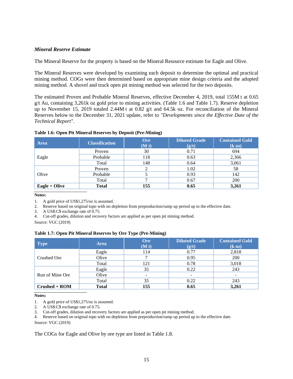### *Mineral Reserve Estimate*

The Mineral Reserve for the property is based on the Mineral Resource estimate for Eagle and Olive.

The Mineral Reserves were developed by examining each deposit to determine the optimal and practical mining method. COGs were then determined based on appropriate mine design criteria and the adopted mining method. A shovel and truck open pit mining method was selected for the two deposits.

The estimated Proven and Probable Mineral Reserves, effective December 4, 2019, total 155M t at 0.65 g/t Au, containing 3,261k oz gold prior to mining activities. (Table 1.6 and Table 1.7). Reserve depletion up to November 15, 2019 totaled 2.44M t at 0.82 g/t and 64.5k oz. For reconciliation of the Mineral Reserves below to the December 31, 2021 update, refer to *"Developments since the Effective Date of the Technical Report".*

|  |  |  |  | Table 1.6: Open Pit Mineral Reserves by Deposit (Pre-Mining) |  |
|--|--|--|--|--------------------------------------------------------------|--|
|  |  |  |  |                                                              |  |

| <b>Area</b>     | <b>Classification</b> | <b>Ore</b><br>(M t) | <b>Diluted Grade</b><br>(g/t) | <b>Contained Gold</b><br>$(k \text{ oz})$ |  |
|-----------------|-----------------------|---------------------|-------------------------------|-------------------------------------------|--|
|                 | Proven                | 30                  | 0.71                          | 694                                       |  |
| Eagle           | Probable              | 118                 | 0.63                          | 2,366                                     |  |
|                 | Total                 | 148                 | 0.64                          | 3,061                                     |  |
|                 | Proven                |                     | 1.02                          | 58                                        |  |
| Olive           | Probable              |                     | 0.93                          | 142                                       |  |
|                 | Total                 |                     | 0.67                          | 200                                       |  |
| Eagle $+$ Olive | <b>Total</b>          | 155                 | 0.65                          | 3,261                                     |  |

**Notes:**

1. A gold price of US\$1,275/oz is assumed.

2. Reserve based on original topo with no depletion from preproduction/ramp up period up to the effective date.

3. A US\$:C\$ exchange rate of 0.75.

4. Cut-off grades, dilution and recovery factors are applied as per open pit mining method.

Source: VGC (2019)

### **Table 1.7: Open Pit Mineral Reserves by Ore Type (Pre-Mining)**

| <b>Type</b>     | <b>Area</b>  | <b>Ore</b><br>(M t)      | <b>Diluted Grade</b><br>(g/t) | <b>Contained Gold</b><br>$(k \text{ oz})$ |
|-----------------|--------------|--------------------------|-------------------------------|-------------------------------------------|
|                 | Eagle        | 114                      | 0.77                          | 2,818                                     |
| Crushed Ore     | Olive        |                          | 0.95                          | 200                                       |
|                 | Total        | 121                      | 0.78                          | 3,018                                     |
|                 | Eagle        | 35                       | 0.22                          | 243                                       |
| Run of Mine Ore | Olive        | $\overline{\phantom{0}}$ | -                             |                                           |
|                 | Total        | 35                       | 0.22                          | 243                                       |
| Crushed + ROM   | <b>Total</b> | 155                      | 0.65                          | 3,261                                     |

**Notes:**

1. A gold price of US\$1,275/oz is assumed.

2. A US\$:C\$ exchange rate of 0.75.

3. Cut-off grades, dilution and recovery factors are applied as per open pit mining method.

4. Reserve based on original topo with no depletion from preproduction/ramp up period up to the effective date.

Source: VGC (2019)

The COGs for Eagle and Olive by ore type are listed in Table 1.8.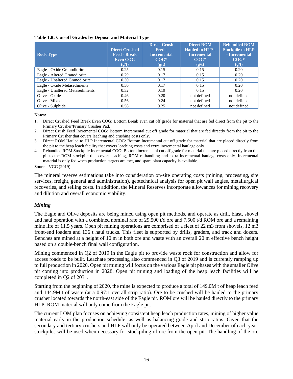#### **Table 1.8: Cut-off Grades by Deposit and Material Type**

| <b>Rock Type</b>                | <b>Direct Crushed</b><br><b>Feed - Break</b><br><b>Even COG</b><br>(g/t) | <b>Direct Crush</b><br>Feed -<br><b>Incremental</b><br>$COG*$<br>(g/t) | <b>Direct ROM</b><br><b>Hauled to HLP -</b><br><b>Incremental</b><br>$COG^*$<br>(g/t) | <b>Rehandled ROM</b><br><b>Stockpile to HLP</b><br>- Incremental<br>$COG*$<br>(g/t) |
|---------------------------------|--------------------------------------------------------------------------|------------------------------------------------------------------------|---------------------------------------------------------------------------------------|-------------------------------------------------------------------------------------|
| Eagle - Oxide Granodiorite      | 0.25                                                                     | 0.15                                                                   | 0.15                                                                                  | 0.20                                                                                |
| Eagle - Altered Granodiorite    | 0.29                                                                     | 0.17                                                                   | 0.15                                                                                  | 0.20                                                                                |
| Eagle - Unaltered Granodiorite  | 0.30                                                                     | 0.17                                                                   | 0.15                                                                                  | 0.20                                                                                |
| Eagle - Oxide Metasediments     | 0.30                                                                     | 0.17                                                                   | 0.15                                                                                  | 0.20                                                                                |
| Eagle - Unaltered Metasediments | 0.32                                                                     | 0.19                                                                   | 0.15                                                                                  | 0.20                                                                                |
| Olive - Oxide                   | 0.46                                                                     | 0.20                                                                   | not defined                                                                           | not defined                                                                         |
| Olive - Mixed                   | 0.56                                                                     | 0.24                                                                   | not defined                                                                           | not defined                                                                         |
| Olive - Sulphide                | 0.58                                                                     | 0.25                                                                   | not defined                                                                           | not defined                                                                         |

#### **Notes:**

1. Direct Crushed Feed Break Even COG: Bottom Break even cut off grade for material that are fed direct from the pit to the Primary Crusher/Primary Crusher Pad.

2. Direct Crush Feed Incremental COG: Bottom Incremental cut off grade for material that are fed directly from the pit to the Primary Crusher that covers leaching and crushing costs only.

3. Direct ROM Hauled to HLP Incremental COG: Bottom Incremental cut off grade for material that are placed directly from the pit to the heap leach facility that covers leaching costs and extra incremental haulage only.

4. Rehandled ROM Stockpile Incremental COG: Bottom incremental cut off grade for material that are placed directly from the pit to the ROM stockpile that covers leaching, ROM re-handling and extra incremental haulage costs only. Incremental material is only fed when production targets are met, and spare plant capacity is available.

Source: VGC (2019)

The mineral reserve estimations take into consideration on-site operating costs (mining, processing, site services, freight, general and administration), geotechnical analysis for open pit wall angles, metallurgical recoveries, and selling costs. In addition, the Mineral Reserves incorporate allowances for mining recovery and dilution and overall economic viability.

### *Mining*

The Eagle and Olive deposits are being mined using open pit methods, and operate as drill, blast, shovel and haul operation with a combined nominal rate of 29,500 t/d ore and 7,500 t/d ROM ore and a remaining mine life of 11.5 years. Open pit mining operations are comprised of a fleet of 22 m3 front shovels, 12 m3 front-end loaders and 136 t haul trucks. This fleet is supported by drills, graders, and track and dozers. Benches are mined at a height of 10 m in both ore and waste with an overall 20 m effective bench height based on a double-bench final wall configuration.

Mining commenced in Q2 of 2019 in the Eagle pit to provide waste rock for construction and allow for access roads to be built. Leachate processing also commenced in Q3 of 2019 and is currently ramping up to full production in 2020. Open pit mining will focus on the various Eagle pit phases with the smaller Olive pit coming into production in 2028. Open pit mining and loading of the heap leach facilities will be completed in Q2 of 2031.

Starting from the beginning of 2020, the mine is expected to produce a total of 149.0M t of heap leach feed and 144.9M t of waste (at a 0.97:1 overall strip ratio). Ore to be crushed will be hauled to the primary crusher located towards the north-east side of the Eagle pit. ROM ore will be hauled directly to the primary HLP. ROM material will only come from the Eagle pit.

The current LOM plan focuses on achieving consistent heap leach production rates, mining of higher value material early in the production schedule, as well as balancing grade and strip ratios. Given that the secondary and tertiary crushers and HLP will only be operated between April and December of each year, stockpiles will be used when necessary for stockpiling of ore from the open pit. The handling of the ore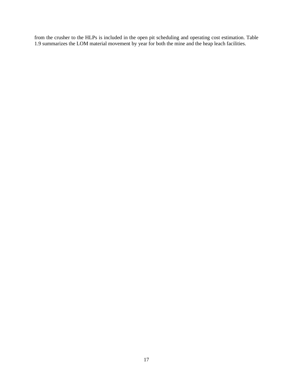from the crusher to the HLPs is included in the open pit scheduling and operating cost estimation. Table 1.9 summarizes the LOM material movement by year for both the mine and the heap leach facilities.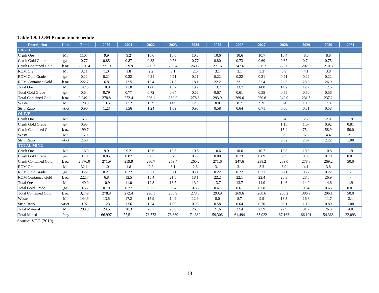#### **Table 1.9: LOM Production Schedule**

| <b>Description</b>          | Unit  | <b>Total</b> | 2020   | 2021   | 2022   | 2023   | 2024   | 2025   | 2026   | 2027   | 2028   | 2029   | 2030   | 2031                     |
|-----------------------------|-------|--------------|--------|--------|--------|--------|--------|--------|--------|--------|--------|--------|--------|--------------------------|
| <b>EAGLE</b>                |       |              |        |        |        |        |        |        |        |        |        |        |        |                          |
| Crush Ore                   | Mt    | 110.4        | 9.9    | 9.2    | 10.6   | 10.6   | 10.6   | 10.6   | 10.6   | 10.7   | 10.4   | 8.6    | 8.8    |                          |
| Crush Gold Grade            | g/t   | 0.77         | 0.85   | 0.87   | 0.83   | 0.76   | 0.77   | 0.80   | 0.73   | 0.69   | 0.67   | 0.74   | 0.75   |                          |
| <b>Crush Contained Gold</b> | k oz  | 2,726.4      | 271.9  | 259.9  | 280.7  | 259.4  | 260.2  | 271.6  | 247.6  | 238.2  | 223.6  | 202.9  | 210.3  |                          |
| ROM Ore                     | Mt    | 32.1         | 1.0    | 1.8    | 2.2    | 3.1    | 2.6    | 3.1    | 3.1    | 3.3    | 3.9    | 4.1    | 3.8    |                          |
| ROM Gold Grade              | g/t   | 0.22         | 0.21   | 0.22   | 0.21   | 0.21   | 0.21   | 0.22   | 0.22   | 0.21   | 0.21   | 0.22   | 0.22   |                          |
| <b>ROM Contained Gold</b>   | k oz  | 222.7        | 6.8    | 12.5   | 15.4   | 21.5   | 18.1   | 22.2   | 22.1   | 22.4   | 26.3   | 28.5   | 26.9   |                          |
| <b>Total Ore</b>            | Mt    | 142.5        | 10.9   | 11.0   | 12.8   | 13.7   | 13.2   | 13.7   | 13.7   | 14.0   | 14.2   | 12.7   | 12.6   |                          |
| Total Gold Grade            | g/t   | 0.64         | 0.79   | 0.77   | 0.72   | 0.64   | 0.66   | 0.67   | 0.61   | 0.58   | 0.55   | 0.50   | 0.56   |                          |
| <b>Total Contained Gold</b> | k oz  | 2,949.1      | 278.8  | 272.4  | 296.1  | 280.9  | 278.3  | 293.9  | 269.6  | 260.6  | 249.9  | 231.5  | 237.2  |                          |
| Waste                       | Mt    | 128.0        | 13.5   | 17.2   | 15.9   | 14.9   | 12.9   | 8.0    | 8.7    | 9.9    | 9.4    | 10.3   | 7.3    |                          |
| <b>Strip Ratio</b>          | wt:ot | 0.90         | 1.23   | 1.56   | 1.24   | 1.09   | 0.98   | 0.58   | 0.64   | 0.71   | 0.66   | 0.81   | 0.58   |                          |
| <b>OLIVE</b>                |       |              |        |        |        |        |        |        |        |        |        |        |        |                          |
| Crush Ore                   | Mt    | 6.5          |        |        |        |        |        |        |        |        | 0.4    | 2.2    | 2.0    | 1.9                      |
| Crush Gold Grade            | g/t   | 0.95         |        |        |        |        |        |        |        |        | 1.18   | 1.07   | 0.92   | 0.81                     |
| <b>Crush Contained Gold</b> | k oz  | 199.7        |        |        |        |        |        |        |        |        | 15.4   | 75.4   | 58.9   | 50.0                     |
| Waste                       | Mt    | 16.9         |        |        |        |        |        |        |        |        | 3.9    | 6.5    | 4.4    | 2.1                      |
| <b>Strip Ratio</b>          | wt:ot | 2.60         |        |        |        |        |        |        |        |        | 9.62   | 2.97   | 2.22   | 1.08                     |
| <b>TOTAL MINE</b>           |       |              |        |        |        |        |        |        |        |        |        |        |        |                          |
| Crush Ore                   | Mt    | 116.9        | 9.9    | 9.2    | 10.6   | 10.6   | 10.6   | 10.6   | 10.6   | 10.7   | 10.8   | 10.8   | 10.8   | 1.9                      |
| Crush Gold Grade            | g/t   | 0.78         | 0.85   | 0.87   | 0.83   | 0.76   | 0.77   | 0.80   | 0.73   | 0.69   | 0.69   | 0.80   | 0.78   | 0.81                     |
| <b>Crush Contained Gold</b> | k oz  | 2,876.0      | 271.9  | 259.9  | 280.7  | 259.4  | 260.2  | 271.6  | 247.6  | 238.2  | 239.0  | 278.3  | 269.2  | 50.0                     |
| ROM Ore                     | Mt    | 32.1         | 1.0    | 1.8    | 2.2    | 3.1    | 2.6    | 3.1    | 3.1    | 3.3    | 3.9    | 4.1    | 3.8    | $\overline{\phantom{a}}$ |
| <b>ROM Gold Grade</b>       | g/t   | 0.22         | 0.21   | 0.22   | 0.21   | 0.21   | 0.21   | 0.22   | 0.22   | 0.21   | 0.21   | 0.22   | 0.22   | $\sim$                   |
| <b>ROM Contained Gold</b>   | k oz  | 222.7        | 6.8    | 12.5   | 15.4   | 21.5   | 18.1   | 22.2   | 22.1   | 22.4   | 26.3   | 28.5   | 26.9   | $\sim$                   |
| <b>Total Ore</b>            | Mt    | 149.0        | 10.9   | 11.0   | 12.8   | 13.7   | 13.2   | 13.7   | 13.7   | 14.0   | 14.6   | 14.9   | 14.6   | 1.9                      |
| <b>Total Gold Grade</b>     | g/t   | 0.66         | 0.79   | 0.77   | 0.72   | 0.64   | 0.66   | 0.67   | 0.61   | 0.58   | 0.56   | 0.64   | 0.63   | 0.81                     |
| <b>Total Contained Gold</b> | k oz  | 3,149        | 278.8  | 272.4  | 296.1  | 280.9  | 278.3  | 293.9  | 269.6  | 260.6  | 265.2  | 306.9  | 296.1  | 50.0                     |
| Waste                       | Mt    | 144.9        | 13.5   | 17.2   | 15.9   | 14.9   | 12.9   | 8.0    | 8.7    | 9.9    | 13.3   | 16.8   | 11.7   | 2.1                      |
| Strip Ratio                 | wt:ot | 0.97         | 1.23   | 1.56   | 1.24   | 1.09   | 0.98   | 0.58   | 0.64   | 0.70   | 0.91   | 1.13   | 0.80   | 1.08                     |
| <b>Total Material</b>       | Mt    | 293.9        | 24.5   | 28.3   | 28.7   | 28.6   | 26.0   | 21.6   | 22.4   | 23.9   | 27.9   | 31.7   | 26.3   | 4.0                      |
| Total Mined                 | t/day |              | 66.997 | 77,511 | 78.573 | 78,369 | 71,332 | 59,306 | 61,494 | 65.022 | 67.163 | 66,191 | 54,363 | 22,093                   |

Source: VGC (2019)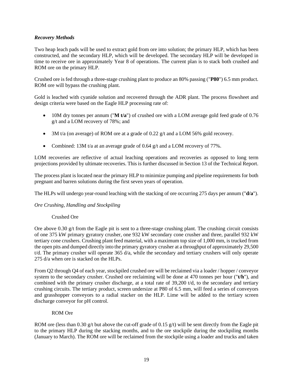### *Recovery Methods*

Two heap leach pads will be used to extract gold from ore into solution; the primary HLP, which has been constructed, and the secondary HLP, which will be developed. The secondary HLP will be developed in time to receive ore in approximately Year 8 of operations. The current plan is to stack both crushed and ROM ore on the primary HLP.

Crushed ore is fed through a three-stage crushing plant to produce an 80% passing ("**P80**") 6.5 mm product. ROM ore will bypass the crushing plant.

Gold is leached with cyanide solution and recovered through the ADR plant. The process flowsheet and design criteria were based on the Eagle HLP processing rate of:

- 10M dry tonnes per annum ("**M t/a**") of crushed ore with a LOM average gold feed grade of 0.76 g/t and a LOM recovery of 78%; and
- 3M t/a (on average) of ROM ore at a grade of 0.22  $g/t$  and a LOM 56% gold recovery.
- Combined: 13M t/a at an average grade of 0.64  $g/t$  and a LOM recovery of 77%.

LOM recoveries are reflective of actual leaching operations and recoveries as opposed to long term projections provided by ultimate recoveries. This is further discussed in Section 13 of the Technical Report.

The process plant is located near the primary HLP to minimize pumping and pipeline requirements for both pregnant and barren solutions during the first seven years of operation.

The HLPs will undergo year-round leaching with the stacking of ore occurring 275 days per annum ("**d/a**").

*Ore Crushing, Handling and Stockpiling*

### Crushed Ore

Ore above 0.30  $g/t$  from the Eagle pit is sent to a three-stage crushing plant. The crushing circuit consists of one 375 kW primary gyratory crusher, one 932 kW secondary cone crusher and three, parallel 932 kW tertiary cone crushers. Crushing plant feed material, with a maximum top size of 1,000 mm, is trucked from the open pits and dumped directly into the primary gyratory crusher at a throughput of approximately 29,500 t/d. The primary crusher will operate 365 d/a, while the secondary and tertiary crushers will only operate 275 d/a when ore is stacked on the HLPs.

From Q2 through Q4 of each year, stockpiled crushed ore will be reclaimed via a loader / hopper / conveyor system to the secondary crusher. Crushed ore reclaiming will be done at 470 tonnes per hour ("**t/h**"), and combined with the primary crusher discharge, at a total rate of 39,200 t/d, to the secondary and tertiary crushing circuits. The tertiary product, screen undersize at P80 of 6.5 mm, will feed a series of conveyors and grasshopper conveyors to a radial stacker on the HLP. Lime will be added to the tertiary screen discharge conveyor for pH control.

### ROM Ore

ROM ore (less than 0.30 g/t but above the cut-off grade of 0.15 g/t) will be sent directly from the Eagle pit to the primary HLP during the stacking months, and to the ore stockpile during the stockpiling months (January to March). The ROM ore will be reclaimed from the stockpile using a loader and trucks and taken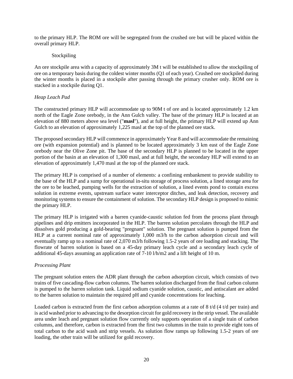to the primary HLP. The ROM ore will be segregated from the crushed ore but will be placed within the overall primary HLP.

### **Stockpiling**

An ore stockpile area with a capacity of approximately 3M t will be established to allow the stockpiling of ore on a temporary basis during the coldest winter months (Q1 of each year). Crushed ore stockpiled during the winter months is placed in a stockpile after passing through the primary crusher only. ROM ore is stacked in a stockpile during Q1.

### *Heap Leach Pad*

The constructed primary HLP will accommodate up to 90M t of ore and is located approximately 1.2 km north of the Eagle Zone orebody, in the Ann Gulch valley. The base of the primary HLP is located at an elevation of 880 meters above sea level ("**masl**"), and at full height, the primary HLP will extend up Ann Gulch to an elevation of approximately 1,225 masl at the top of the planned ore stack.

The proposed secondary HLP will commence in approximately Year 8 and will accommodate the remaining ore (with expansion potential) and is planned to be located approximately 3 km east of the Eagle Zone orebody near the Olive Zone pit. The base of the secondary HLP is planned to be located in the upper portion of the basin at an elevation of 1,300 masl, and at full height, the secondary HLP will extend to an elevation of approximately 1,470 masl at the top of the planned ore stack.

The primary HLP is comprised of a number of elements: a confining embankment to provide stability to the base of the HLP and a sump for operational in-situ storage of process solution, a lined storage area for the ore to be leached, pumping wells for the extraction of solution, a lined events pond to contain excess solution in extreme events, upstream surface water interceptor ditches, and leak detection, recovery and monitoring systems to ensure the containment of solution. The secondary HLP design is proposed to mimic the primary HLP.

The primary HLP is irrigated with a barren cyanide-caustic solution fed from the process plant through pipelines and drip emitters incorporated in the HLP. The barren solution percolates through the HLP and dissolves gold producing a gold-bearing "pregnant" solution. The pregnant solution is pumped from the HLP at a current nominal rate of approximately 1,000 m3/h to the carbon adsorption circuit and will eventually ramp up to a nominal rate of 2,070 m3/h following 1.5-2 years of ore loading and stacking. The flowrate of barren solution is based on a 45-day primary leach cycle and a secondary leach cycle of additional 45-days assuming an application rate of 7-10 l/h/m2 and a lift height of 10 m.

### *Processing Plant*

The pregnant solution enters the ADR plant through the carbon adsorption circuit, which consists of two trains of five cascading-flow carbon columns. The barren solution discharged from the final carbon column is pumped to the barren solution tank. Liquid sodium cyanide solution, caustic, and antiscalant are added to the barren solution to maintain the required pH and cyanide concentrations for leaching.

Loaded carbon is extracted from the first carbon adsorption columns at a rate of 8 t/d (4 t/d per train) and is acid washed prior to advancing to the desorption circuit for gold recovery in the strip vessel. The available area under leach and pregnant solution flow currently only supports operation of a single train of carbon columns, and therefore, carbon is extracted from the first two columns in the train to provide eight tons of total carbon to the acid wash and strip vessels. As solution flow ramps up following 1.5-2 years of ore loading, the other train will be utilized for gold recovery.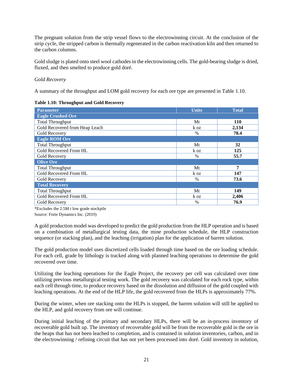The pregnant solution from the strip vessel flows to the electrowinning circuit. At the conclusion of the strip cycle, the stripped carbon is thermally regenerated in the carbon reactivation kiln and then returned to the carbon columns.

Gold sludge is plated onto steel wool cathodes in the electrowinning cells. The gold-bearing sludge is dried, fluxed, and then smelted to produce gold doré.

### *Gold Recovery*

A summary of the throughput and LOM gold recovery for each ore type are presented in Table 1.10.

|  |  | Table 1.10: Throughput and Gold Recovery |  |  |
|--|--|------------------------------------------|--|--|
|--|--|------------------------------------------|--|--|

| <b>Parameter</b>               | <b>Units</b>  | <b>Total</b> |
|--------------------------------|---------------|--------------|
| <b>Eagle Crushed Ore</b>       |               |              |
| <b>Total Throughput</b>        | Mt            | <b>110</b>   |
| Gold Recovered from Heap Leach | k oz          | 2,134        |
| Gold Recovery                  | $\%$          | 78.4         |
| <b>Eagle ROM Ore</b>           |               |              |
| <b>Total Throughput</b>        | Mt            | 32           |
| Gold Recovered From HL         | k oz          | 125          |
| Gold Recovery                  | $\%$          | 55.7         |
| <b>Olive Ore</b>               |               |              |
| <b>Total Throughput</b>        | Mt            | 7            |
| Gold Recovered From HL         | k oz          | 147          |
| Gold Recovery                  | $\frac{0}{0}$ | 73.6         |
| <b>Total Recovery</b>          |               |              |
| <b>Total Throughput</b>        | Mt            | 149          |
| Gold Recovered From HL         | k oz          | 2,406        |
| Gold Recovery                  | $\frac{0}{0}$ | 76.9         |

\*Excludes the 2.5M t low grade stockpile

Source: Forte Dynamics Inc. (2019)

A gold production model was developed to predict the gold production from the HLP operation and is based on a combination of metallurgical testing data, the mine production schedule, the HLP construction sequence (or stacking plan), and the leaching (irrigation) plan for the application of barren solution.

The gold production model uses discretized cells loaded through time based on the ore loading schedule. For each cell, grade by lithology is tracked along with planned leaching operations to determine the gold recovered over time.

Utilizing the leaching operations for the Eagle Project, the recovery per cell was calculated over time utilizing previous metallurgical testing work. The gold recovery was calculated for each rock type, within each cell through time, to produce recovery based on the dissolution and diffusion of the gold coupled with leaching operations. At the end of the HLP life, the gold recovered from the HLPs is approximately 77%.

During the winter, when ore stacking onto the HLPs is stopped, the barren solution will still be applied to the HLP, and gold recovery from ore will continue.

During initial leaching of the primary and secondary HLPs, there will be an in-process inventory of recoverable gold built up. The inventory of recoverable gold will be from the recoverable gold in the ore in the heaps that has not been leached to completion, and is contained in solution inventories, carbon, and in the electrowinning / refining circuit that has not yet been processed into doré. Gold inventory in solution,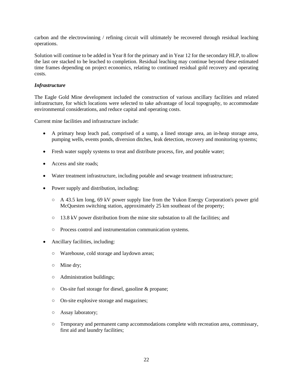carbon and the electrowinning / refining circuit will ultimately be recovered through residual leaching operations.

Solution will continue to be added in Year 8 for the primary and in Year 12 for the secondary HLP, to allow the last ore stacked to be leached to completion. Residual leaching may continue beyond these estimated time frames depending on project economics, relating to continued residual gold recovery and operating costs.

### *Infrastructure*

The Eagle Gold Mine development included the construction of various ancillary facilities and related infrastructure, for which locations were selected to take advantage of local topography, to accommodate environmental considerations, and reduce capital and operating costs.

Current mine facilities and infrastructure include:

- A primary heap leach pad, comprised of a sump, a lined storage area, an in-heap storage area, pumping wells, events ponds, diversion ditches, leak detection, recovery and monitoring systems;
- Fresh water supply systems to treat and distribute process, fire, and potable water;
- Access and site roads;
- Water treatment infrastructure, including potable and sewage treatment infrastructure;
- Power supply and distribution, including:
	- A 43.5 km long, 69 kV power supply line from the Yukon Energy Corporation's power grid McQuesten switching station, approximately 25 km southeast of the property;
	- $\circ$  13.8 kV power distribution from the mine site substation to all the facilities; and
	- Process control and instrumentation communication systems.
- Ancillary facilities, including:
	- Warehouse, cold storage and laydown areas;
	- Mine dry;
	- Administration buildings;
	- On-site fuel storage for diesel, gasoline & propane;
	- On-site explosive storage and magazines;
	- Assay laboratory;
	- Temporary and permanent camp accommodations complete with recreation area, commissary, first aid and laundry facilities;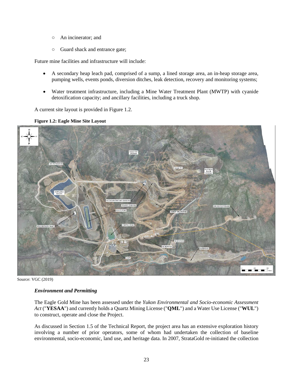- An incinerator; and
- Guard shack and entrance gate;

Future mine facilities and infrastructure will include:

- A secondary heap leach pad, comprised of a sump, a lined storage area, an in-heap storage area, pumping wells, events ponds, diversion ditches, leak detection, recovery and monitoring systems;
- Water treatment infrastructure, including a Mine Water Treatment Plant (MWTP) with cyanide detoxification capacity; and ancillary facilities, including a truck shop.

A current site layout is provided in Figure 1.2.

**Figure 1.2: Eagle Mine Site Layout**



Source: VGC (2019)

### *Environment and Permitting*

The Eagle Gold Mine has been assessed under the *Yukon Environmental and Socio-economic Assessment Act* ("**YESAA**") and currently holds a Quartz Mining License ("**QML**") and a Water Use License ("**WUL**") to construct, operate and close the Project.

As discussed in Section 1.5 of the Technical Report, the project area has an extensive exploration history involving a number of prior operators, some of whom had undertaken the collection of baseline environmental, socio-economic, land use, and heritage data. In 2007, StrataGold re-initiated the collection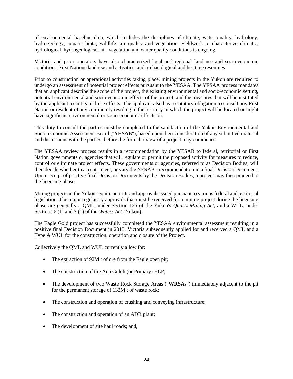of environmental baseline data, which includes the disciplines of climate, water quality, hydrology, hydrogeology, aquatic biota, wildlife, air quality and vegetation. Fieldwork to characterize climatic, hydrological, hydrogeological, air, vegetation and water quality conditions is ongoing.

Victoria and prior operators have also characterized local and regional land use and socio-economic conditions, First Nations land use and activities, and archaeological and heritage resources.

Prior to construction or operational activities taking place, mining projects in the Yukon are required to undergo an assessment of potential project effects pursuant to the YESAA. The YESAA process mandates that an applicant describe the scope of the project, the existing environmental and socio-economic setting, potential environmental and socio-economic effects of the project, and the measures that will be instituted by the applicant to mitigate those effects. The applicant also has a statutory obligation to consult any First Nation or resident of any community residing in the territory in which the project will be located or might have significant environmental or socio-economic effects on.

This duty to consult the parties must be completed to the satisfaction of the Yukon Environmental and Socio-economic Assessment Board ("**YESAB**"), based upon their consideration of any submitted material and discussions with the parties, before the formal review of a project may commence.

The YESAA review process results in a recommendation by the YESAB to federal, territorial or First Nation governments or agencies that will regulate or permit the proposed activity for measures to reduce, control or eliminate project effects. These governments or agencies, referred to as Decision Bodies, will then decide whether to accept, reject, or vary the YESAB's recommendation in a final Decision Document. Upon receipt of positive final Decision Documents by the Decision Bodies, a project may then proceed to the licensing phase.

Mining projects in the Yukon require permits and approvals issued pursuant to various federal and territorial legislation. The major regulatory approvals that must be received for a mining project during the licensing phase are generally a QML, under Section 135 of the Yukon's *Quartz Mining Act*, and a WUL, under Sections 6 (1) and 7 (1) of the *Waters Act* (Yukon).

The Eagle Gold project has successfully completed the YESAA environmental assessment resulting in a positive final Decision Document in 2013. Victoria subsequently applied for and received a QML and a Type A WUL for the construction, operation and closure of the Project.

Collectively the QML and WUL currently allow for:

- The extraction of 92M t of ore from the Eagle open pit;
- The construction of the Ann Gulch (or Primary) HLP;
- The development of two Waste Rock Storage Areas ("**WRSAs**") immediately adjacent to the pit for the permanent storage of 132M t of waste rock;
- The construction and operation of crushing and conveying infrastructure;
- The construction and operation of an ADR plant;
- The development of site haul roads; and,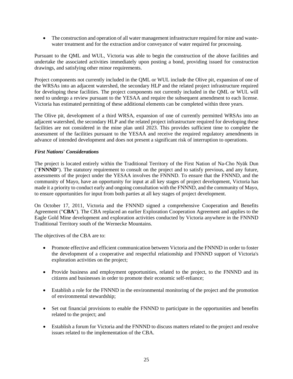• The construction and operation of all water management infrastructure required for mine and wastewater treatment and for the extraction and/or conveyance of water required for processing.

Pursuant to the QML and WUL, Victoria was able to begin the construction of the above facilities and undertake the associated activities immediately upon posting a bond, providing issued for construction drawings, and satisfying other minor requirements.

Project components not currently included in the QML or WUL include the Olive pit, expansion of one of the WRSAs into an adjacent watershed, the secondary HLP and the related project infrastructure required for developing these facilities. The project components not currently included in the QML or WUL will need to undergo a review pursuant to the YESAA and require the subsequent amendment to each license. Victoria has estimated permitting of these additional elements can be completed within three years.

The Olive pit, development of a third WRSA, expansion of one of currently permitted WRSAs into an adjacent watershed, the secondary HLP and the related project infrastructure required for developing these facilities are not considered in the mine plan until 2023. This provides sufficient time to complete the assessment of the facilities pursuant to the YESAA and receive the required regulatory amendments in advance of intended development and does not present a significant risk of interruption to operations.

### *First Nations' Considerations*

The project is located entirely within the Traditional Territory of the First Nation of Na-Cho Nyäk Dun ("**FNNND**"). The statutory requirement to consult on the project and to satisfy previous, and any future, assessments of the project under the YESAA involves the FNNND. To ensure that the FNNND, and the community of Mayo, have an opportunity for input at all key stages of project development, Victoria has made it a priority to conduct early and ongoing consultation with the FNNND, and the community of Mayo, to ensure opportunities for input from both parties at all key stages of project development.

On October 17, 2011, Victoria and the FNNND signed a comprehensive Cooperation and Benefits Agreement ("**CBA**"). The CBA replaced an earlier Exploration Cooperation Agreement and applies to the Eagle Gold Mine development and exploration activities conducted by Victoria anywhere in the FNNND Traditional Territory south of the Wernecke Mountains.

The objectives of the CBA are to:

- Promote effective and efficient communication between Victoria and the FNNND in order to foster the development of a cooperative and respectful relationship and FNNND support of Victoria's exploration activities on the project;
- Provide business and employment opportunities, related to the project, to the FNNND and its citizens and businesses in order to promote their economic self-reliance;
- Establish a role for the FNNND in the environmental monitoring of the project and the promotion of environmental stewardship;
- Set out financial provisions to enable the FNNND to participate in the opportunities and benefits related to the project; and
- Establish a forum for Victoria and the FNNND to discuss matters related to the project and resolve issues related to the implementation of the CBA.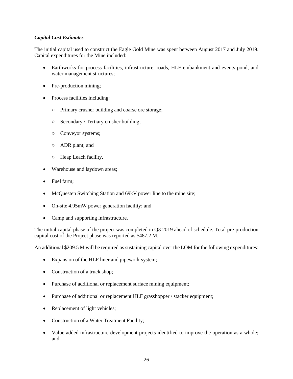### *Capital Cost Estimates*

The initial capital used to construct the Eagle Gold Mine was spent between August 2017 and July 2019. Capital expenditures for the Mine included:

- Earthworks for process facilities, infrastructure, roads, HLF embankment and events pond, and water management structures;
- Pre-production mining;
- Process facilities including:
	- Primary crusher building and coarse ore storage;
	- Secondary / Tertiary crusher building;
	- Conveyor systems;
	- ADR plant; and
	- Heap Leach facility.
- Warehouse and laydown areas;
- Fuel farm;
- McQuesten Switching Station and 69kV power line to the mine site;
- On-site 4.95mW power generation facility; and
- Camp and supporting infrastructure.

The initial capital phase of the project was completed in Q3 2019 ahead of schedule. Total pre-production capital cost of the Project phase was reported as \$487.2 M.

An additional \$209.5 M will be required as sustaining capital over the LOM for the following expenditures:

- Expansion of the HLF liner and pipework system;
- Construction of a truck shop;
- Purchase of additional or replacement surface mining equipment;
- Purchase of additional or replacement HLF grasshopper / stacker equipment;
- Replacement of light vehicles;
- Construction of a Water Treatment Facility;
- Value added infrastructure development projects identified to improve the operation as a whole; and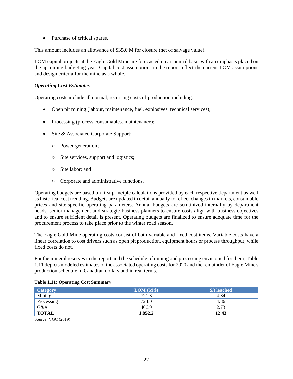• Purchase of critical spares.

This amount includes an allowance of \$35.0 M for closure (net of salvage value).

LOM capital projects at the Eagle Gold Mine are forecasted on an annual basis with an emphasis placed on the upcoming budgeting year. Capital cost assumptions in the report reflect the current LOM assumptions and design criteria for the mine as a whole.

### *Operating Cost Estimates*

Operating costs include all normal, recurring costs of production including:

- Open pit mining (labour, maintenance, fuel, explosives, technical services);
- Processing (process consumables, maintenance);
- Site & Associated Corporate Support;
	- Power generation;
	- Site services, support and logistics;
	- Site labor; and
	- Corporate and administrative functions.

Operating budgets are based on first principle calculations provided by each respective department as well as historical cost trending. Budgets are updated in detail annually to reflect changes in markets, consumable prices and site-specific operating parameters. Annual budgets are scrutinized internally by department heads, senior management and strategic business planners to ensure costs align with business objectives and to ensure sufficient detail is present. Operating budgets are finalized to ensure adequate time for the procurement process to take place prior to the winter road season.

The Eagle Gold Mine operating costs consist of both variable and fixed cost items. Variable costs have a linear correlation to cost drivers such as open pit production, equipment hours or process throughput, while fixed costs do not.

For the mineral reserves in the report and the schedule of mining and processing envisioned for them, Table 1.11 depicts modeled estimates of the associated operating costs for 2020 and the remainder of Eagle Mine's production schedule in Canadian dollars and in real terms.

| <b>Category</b> | LOM(M <sub>s</sub> ) | \$/t leached |
|-----------------|----------------------|--------------|
| Mining          | 721.3                | 4.84         |
| Processing      | 724.0                | 4.86         |
| G&A             | 406.9                | 2.73         |
| <b>TOTAL</b>    | 1,852.2              | 12.43        |

#### **Table 1.11: Operating Cost Summary**

Source: VGC (2019)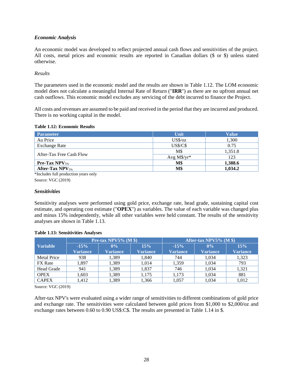### *Economic Analysis*

An economic model was developed to reflect projected annual cash flows and sensitivities of the project. All costs, metal prices and economic results are reported in Canadian dollars (\$ or \$) unless stated otherwise.

### *Results*

The parameters used in the economic model and the results are shown in Table 1.12. The LOM economic model does not calculate a meaningful Internal Rate of Return ("**IRR**") as there are no upfront annual net cash outflows. This economic model excludes any servicing of the debt incurred to finance the Project.

All costs and revenues are assumed to be paid and received in the period that they are incurred and produced. There is no working capital in the model.

#### **Table 1.12: Economic Results**

| <b>Parameter</b>            | Unit            | <b>Value</b> |
|-----------------------------|-----------------|--------------|
| Au Price                    | US\$/oz         | 1,300        |
| <b>Exchange Rate</b>        | <b>US\$/C\$</b> | 0.75         |
| After-Tax Free Cash Flow    | M\$             | 1,351.8      |
|                             | Avg $M\$ /yr*   | 123          |
| <b>Pre-Tax NPV</b> $_{5\%}$ | M\$             | 1,388.6      |
| After-Tax $NPV_{5\%}$       | M\$             | 1,034.2      |

\*Includes full production years only Source: VGC (2019)

#### *Sensitivities*

Sensitivity analyses were performed using gold price, exchange rate, head grade, sustaining capital cost estimate, and operating cost estimate ("**OPEX**") as variables. The value of each variable was changed plus and minus 15% independently, while all other variables were held constant. The results of the sensitivity analyses are shown in Table 1.13.

|                    |                 | Pre-tax NPV5% $(M $)$ |                 | After-tax NPV5 $%$ (M \$) |                 |                 |  |  |
|--------------------|-----------------|-----------------------|-----------------|---------------------------|-----------------|-----------------|--|--|
| <b>Variable</b>    | $-15%$          | 0%                    | 15%             | $-15%$                    | $0\%$           | 15%             |  |  |
|                    | <b>Variance</b> | <b>Variance</b>       | <b>Variance</b> | <b>Variance</b>           | <b>Variance</b> | <b>Variance</b> |  |  |
| <b>Metal Price</b> | 938             | 1,389                 | 1,840           | 744                       | 1,034           | 1,323           |  |  |
| <b>FX</b> Rate     | 1,897           | 1,389                 | 1,014           | 1,359                     | 1,034           | 793             |  |  |
| <b>Head Grade</b>  | 941             | 1,389                 | 1,837           | 746                       | 1,034           | 1,321           |  |  |
| <b>OPEX</b>        | 1,603           | 1,389                 | 1,175           | 1.173                     | 1,034           | 881             |  |  |
| <b>CAPEX</b>       | 1,412           | 1,389                 | 1,366           | 1,057                     | 1,034           | 1,012           |  |  |

#### **Table 1.13: Sensitivities Analyses**

Source: VGC (2019)

After-tax NPV's were evaluated using a wider range of sensitivities to different combinations of gold price and exchange rate. The sensitivities were calculated between gold prices from \$1,000 to \$2,000/oz and exchange rates between 0.60 to 0.90 US\$:C\$. The results are presented in Table 1.14 in \$.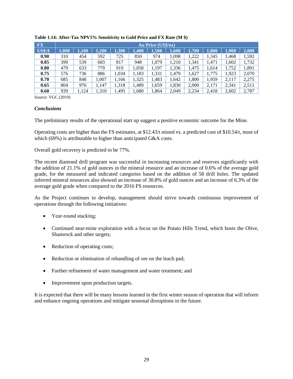| <b>FX</b>      | Au Price (US\$/oz) |       |       |       |       |       |       |       |       |       |       |
|----------------|--------------------|-------|-------|-------|-------|-------|-------|-------|-------|-------|-------|
| <b>US\$:\$</b> | 1.000              | 1.100 | 1.200 | 1,300 | 1.400 | 1.500 | 1,600 | 1.700 | 1.800 | 1.900 | 2,000 |
| 0.90           | 310                | 454   | 592   | 725   | 850   | 974   | 1,098 | .222  | 1,345 | 1,468 | 1,592 |
| 0.85           | 390                | 539   | 683   | 817   | 948   | 1.079 | 1,210 | 1,341 | 1,471 | 1,602 | 1,732 |
| 0.80           | 479                | 633   | 779   | 919   | 1,058 | 1,197 | 1,336 | 1,475 | 1,614 | 1,752 | 1,891 |
| 0.75           | 576                | 736   | 886   | 1,034 | 1,183 | 1,331 | 1,479 | 1,627 | 1,775 | 1,923 | 2,070 |
| 0.70           | 685                | 848   | 1,007 | 1,166 | 1,325 | 1,483 | 1,642 | 1,800 | 1,959 | 2,117 | 2,275 |
| 0.65           | 804                | 976   | 1,147 | 1,318 | 1,489 | 1,659 | 1,830 | 2,000 | 2,171 | 2,341 | 2,511 |
| 0.60           | 939                | 1.124 | 1,310 | 1.495 | 1,680 | 1.864 | 2.049 | 2,234 | 2,418 | 2,602 | 2,787 |

#### **Table 1.14: After-Tax NPV5% Sensitivity to Gold Price and FX Rate (M \$)**

Source: VGC (2019)

#### *Conclusions*

The preliminary results of the operational start up suggest a positive economic outcome for the Mine.

Operating costs are higher than the FS estimates, at \$12.43/t mined vs. a predicted cost of \$10.54/t, most of which (69%) is attributable to higher than anticipated G&A costs.

Overall gold recovery is predicted to be 77%.

The recent diamond drill program was successful in increasing resources and reserves significantly with the addition of 21.1% of gold ounces in the mineral resource and an increase of 0.6% of the average gold grade, for the measured and indicated categories based on the addition of 58 drill holes. The updated inferred mineral resources also showed an increase of 30.8% of gold ounces and an increase of 6.3% of the average gold grade when compared to the 2016 FS resources.

As the Project continues to develop, management should strive towards continuous improvement of operations through the following initiatives:

- Year-round stacking;
- Continued near-mine exploration with a focus on the Potato Hills Trend, which hosts the Olive, Shamrock and other targets;
- Reduction of operating costs;
- Reduction or elimination of rehandling of ore on the leach pad;
- Further refinement of water management and water treatment; and
- Improvement upon production targets.

It is expected that there will be many lessons learned in the first winter season of operation that will inform and enhance ongoing operations and mitigate seasonal disruptions in the future.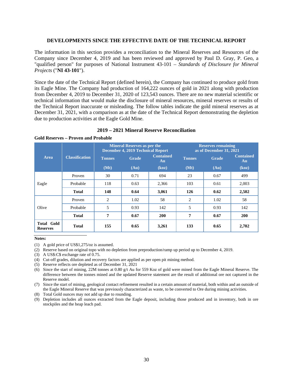#### <span id="page-31-0"></span>**DEVELOPMENTS SINCE THE EFFECTIVE DATE OF THE TECHNICAL REPORT**

The information in this section provides a reconciliation to the Mineral Reserves and Resources of the Company since December 4, 2019 and has been reviewed and approved by Paul D. Gray, P. Geo, a "qualified person" for purposes of National Instrument 43-101 – *Standards of Disclosure for Mineral Projects* ("**NI 43-101**").

Since the date of the Technical Report (defined herein), the Company has continued to produce gold from its Eagle Mine. The Company had production of 164,222 ounces of gold in 2021 along with production from December 4, 2019 to December 31, 2020 of 123,543 ounces. There are no new material scientific or technical information that would make the disclosure of mineral resources, mineral reserves or results of the Technical Report inaccurate or misleading. The follow tables indicate the gold mineral reserves as at December 31, 2021, with a comparison as at the date of the Technical Report demonstrating the depletion due to production activities at the Eagle Gold Mine.

### **2019 – 2021 Mineral Reserve Reconciliation**

#### **Gold Reserves – Proven and Probable**

|                                      |                       |               | <b>Mineral Reserves as per the</b><br><b>December 4, 2019 Technical Report</b> |       | <b>Reserves remaining</b><br>as of December 31, 2021 |                        |            |  |
|--------------------------------------|-----------------------|---------------|--------------------------------------------------------------------------------|-------|------------------------------------------------------|------------------------|------------|--|
| Area                                 | <b>Classification</b> | <b>Tonnes</b> | <b>Contained</b><br><b>Grade</b><br><b>Tonnes</b><br>Au                        |       | <b>Grade</b>                                         | <b>Contained</b><br>Au |            |  |
|                                      |                       | (Mt)          | (Au)                                                                           | (koz) | (Mt)                                                 | (Au)                   | (koz)      |  |
|                                      | Proven                | 30            | 0.71                                                                           | 694   | 23                                                   | 0.67                   | 499        |  |
| Eagle                                | Probable              | 118           | 0.63                                                                           | 2,366 | 103                                                  | 0.61                   | 2,003      |  |
|                                      | <b>Total</b>          | 148           | 0.64                                                                           | 3,061 | 126                                                  | 0.62                   | 2,502      |  |
|                                      | Proven                | 2             | 1.02                                                                           | 58    | 2                                                    | 1.02                   | 58         |  |
| Olive                                | Probable              | 5             | 0.93                                                                           | 142   | 5                                                    | 0.93                   | 142        |  |
|                                      | <b>Total</b>          | 7             | 0.67                                                                           | 200   | 7                                                    | 0.67                   | <b>200</b> |  |
| <b>Total Gold</b><br><b>Reserves</b> | <b>Total</b>          | 155           | 0.65                                                                           | 3,261 | 133                                                  | 0.65                   | 2,702      |  |

#### **Notes:**

(1) A gold price of US\$1,275/oz is assumed.

- (2) Reserve based on original topo with no depletion from preproduction/ramp up period up to December 4, 2019.
- (3) A US\$:C\$ exchange rate of 0.75.
- (4) Cut-off grades, dilution and recovery factors are applied as per open pit mining method.
- (5) Reserve reflects ore depleted as of December 31, 2021
- (6) Since the start of mining, 22M tonnes at 0.80 g/t Au for 559 Koz of gold were mined from the Eagle Mineral Reserve. The difference between the tonnes mined and the updated Reserve statement are the result of additional ore not captured in the Reserve model.

(7) Since the start of mining, geological contact refinement resulted in a certain amount of material, both within and an outside of the Eagle Mineral Reserve that was previously characterized as waste, to be converted to Ore during mining activities.

(8) Total Gold ounces may not add up due to rounding.

(9) Depletion includes all ounces extracted from the Eagle deposit, including those produced and in inventory, both in ore stockpiles and the heap leach pad.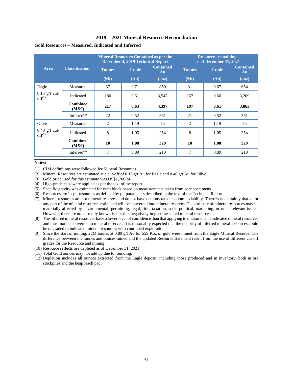#### **2019 – 2021 Mineral Resource Reconciliation**

#### **Gold Resources – Measured, Indicated and Inferred**

|                                       |                          | <b>Mineral Resources Contained as per the</b><br><b>December 4, 2019 Technical Report</b> |              |                        | <b>Resources remaining</b><br>as of December 31, 2021 |              |                        |
|---------------------------------------|--------------------------|-------------------------------------------------------------------------------------------|--------------|------------------------|-------------------------------------------------------|--------------|------------------------|
| <b>Area</b>                           | <b>Classification</b>    | <b>Tonnes</b>                                                                             | <b>Grade</b> | <b>Contained</b><br>Au | <b>Tonnes</b>                                         | <b>Grade</b> | <b>Contained</b><br>Au |
|                                       |                          | (Mt)                                                                                      | (Au)         | (koz)                  | (Mt)                                                  | (Au)         | (koz)                  |
| Eagle                                 | Measured                 | 37                                                                                        | 0.71         | 850                    | 31                                                    | 0.67         | 654                    |
| $0.15$ g/t cut-<br>off <sup>(2)</sup> | Indicated                | 180                                                                                       | 0.61         | 3,547                  | 167                                                   | 0.60         | 3,209                  |
|                                       | <b>Combined</b><br>(M&I) | 217                                                                                       | 0.63         | 4,397                  | 197                                                   | 0.61         | 3,863                  |
|                                       | Inferred $(8)$           | 22                                                                                        | 0.52         | 361                    | 21                                                    | 0.52         | 361                    |
| Olive                                 | Measured                 | $\overline{2}$                                                                            | 1.19         | 75                     | 2                                                     | 1.19         | 75                     |
| $0.40$ g/t cut-<br>off <sup>(2)</sup> | Indicated                | $\,$ 8 $\,$                                                                               | 1.05         | 254                    | 8                                                     | 1.05         | 254                    |
|                                       | <b>Combined</b><br>(M&I) | 10                                                                                        | 1.08         | 329                    | 10                                                    | 1.08         | 329                    |
|                                       | Inferred $(8)$           | 7                                                                                         | 0.89         | 210                    | 7                                                     | 0.89         | 210                    |

#### **Notes:**

(1) CIM definitions were followed for Mineral Resources

(2) Mineral Resources are estimated at a cut-off of 0.15 g/t Au for Eagle and 0.40 g/t Au for Olive

(3) Gold price used for this estimate was US\$1,700/oz

(4) High-grade caps were applied as per the text of the report

(5) Specific gravity was estimated for each block based on measurements taken from core specimens.

(6) Resources are In-pit resources as defined by pit parameters described in the text of the Technical Report.

(7) Mineral resources are not mineral reserves and do not have demonstrated economic viability. There is no certainty that all or any part of the mineral resources estimated will be converted into mineral reserves. The estimate of mineral resources may be materially affected by environmental, permitting, legal, title, taxation, socio-political, marketing, or other relevant issues. However, there are no currently known issues that negatively impact the stated mineral resources.

(8) The inferred mineral resources have a lower level of confidence than that applying to measured and indicated mineral resources and must not be converted to mineral reserves. It is reasonably expected that the majority of inferred mineral resources could be upgraded to indicated mineral resources with continued exploration.

(9) Since the start of mining, 22M tonnes at 0.80 g/t Au for 559 Koz of gold were mined from the Eagle Mineral Reserve. The difference between the tonnes and ounces mined and the updated Resource statement result from the use of different cut-off grades for the Resource and mining.

(10) Resource reflects ore depleted as of December 31, 2021

(11) Total Gold ounces may not add up due to rounding.

(12) Depletion includes all ounces extracted from the Eagle deposit, including those produced and in inventory, both in ore stockpiles and the heap leach pad.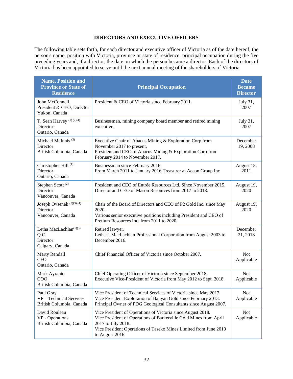### **DIRECTORS AND EXECUTIVE OFFICERS**

<span id="page-33-0"></span>The following table sets forth, for each director and executive officer of Victoria as of the date hereof, the person's name, position with Victoria, province or state of residence, principal occupation during the five preceding years and, if a director, the date on which the person became a director. Each of the directors of Victoria has been appointed to serve until the next annual meeting of the shareholders of Victoria.

| <b>Name, Position and</b><br><b>Province or State of</b><br><b>Residence</b> | <b>Principal Occupation</b>                                                                                                                                                                                                                   | <b>Date</b><br><b>Became</b><br><b>Director</b> |
|------------------------------------------------------------------------------|-----------------------------------------------------------------------------------------------------------------------------------------------------------------------------------------------------------------------------------------------|-------------------------------------------------|
| John McConnell<br>President & CEO, Director<br>Yukon, Canada                 | President & CEO of Victoria since February 2011.                                                                                                                                                                                              | July 31,<br>2007                                |
| T. Sean Harvey $(1)(2)(4)$<br>Director<br>Ontario, Canada                    | Businessman, mining company board member and retired mining<br>executive.                                                                                                                                                                     | July 31,<br>2007                                |
| Michael McInnis <sup>(3)</sup><br>Director<br>British Columbia, Canada       | Executive Chair of Abacus Mining & Exploration Corp from<br>November 2017 to present.<br>President and CEO of Abacus Mining & Exploration Corp from<br>February 2014 to November 2017.                                                        | December<br>19, 2008                            |
| Christopher Hill <sup>(1)</sup><br>Director<br>Ontario, Canada               | Businessman since February 2016.<br>From March 2011 to January 2016 Treasurer at Aecon Group Inc                                                                                                                                              | August 18,<br>2011                              |
| Stephen Scott <sup>(2)</sup><br>Director<br>Vancouver, Canada                | President and CEO of Entrée Resources Ltd. Since November 2015.<br>Director and CEO of Mason Resources from 2017 to 2018.                                                                                                                     | August 19,<br>2020                              |
| Joseph Ovsenek <sup>(2)(3)(4)</sup><br>Director<br>Vancouver, Canada         | Chair of the Board of Directors and CEO of P2 Gold Inc. since May<br>2020.<br>Various senior executive positions including President and CEO of<br>Pretium Resources Inc. from 2011 to 2020.                                                  | August 19,<br>2020                              |
| Letha MacLachlan <sup>(1)(3)</sup><br>Q.C.<br>Director<br>Calgary, Canada    | Retired lawyer.<br>Letha J. MacLachlan Professional Corporation from August 2003 to<br>December 2016.                                                                                                                                         | December<br>21, 2018                            |
| Marty Rendall<br><b>CFO</b><br>Ontario, Canada                               | Chief Financial Officer of Victoria since October 2007.                                                                                                                                                                                       | <b>Not</b><br>Applicable                        |
| Mark Ayranto<br>COO<br>British Columbia, Canada                              | Chief Operating Officer of Victoria since September 2018.<br>Executive Vice-President of Victoria from May 2012 to Sept. 2018.                                                                                                                | <b>Not</b><br>Applicable                        |
| Paul Gray<br>VP - Technical Services<br>British Columbia, Canada             | Vice President of Technical Services of Victoria since May 2017.<br>Vice President Exploration of Banyan Gold since February 2013.<br>Principal Owner of PDG Geological Consultants since August 2007.                                        | <b>Not</b><br>Applicable                        |
| David Rouleau<br>VP - Operations<br>British Columbia, Canada                 | Vice President of Operations of Victoria since August 2018.<br>Vice President of Operations of Barkerville Gold Mines from April<br>2017 to July 2018.<br>Vice President Operations of Taseko Mines Limited from June 2010<br>to August 2016. | <b>Not</b><br>Applicable                        |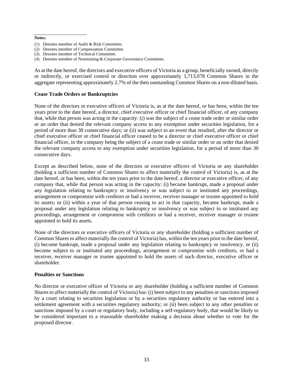#### **Notes:**

- (1) Denotes member of Audit & Risk Committee.
- (2) Denotes member of Compensation Committee.
- (3) Denotes member of Technical Committee.
- (4) Denotes member of Nominating & Corporate Governance Committee.

As at the date hereof, the directors and executive officers of Victoria as a group, beneficially owned, directly or indirectly, or exercised control or direction over approximately 1,713,078 Common Shares in the aggregate representing approximately 2.7% of the then outstanding Common Shares on a non-diluted basis.

#### **Cease Trade Orders or Bankruptcies**

None of the directors or executive officers of Victoria is, as at the date hereof, or has been, within the ten years prior to the date hereof, a director, chief executive officer or chief financial officer, of any company that, while that person was acting in the capacity: (i) was the subject of a cease trade order or similar order or an order that denied the relevant company access to any exemption under securities legislation, for a period of more than 30 consecutive days; or (ii) was subject to an event that resulted, after the director or chief executive officer or chief financial officer ceased to be a director or chief executive officer or chief financial officer, in the company being the subject of a cease trade or similar order or an order that denied the relevant company access to any exemption under securities legislation, for a period of more than 30 consecutive days.

Except as described below, none of the directors or executive officers of Victoria or any shareholder (holding a sufficient number of Common Shares to affect materially the control of Victoria) is, as at the date hereof, or has been, within the ten years prior to the date hereof, a director or executive officer, of any company that, while that person was acting in the capacity: (i) became bankrupt, made a proposal under any legislation relating to bankruptcy or insolvency or was subject to or instituted any proceedings, arrangement or compromise with creditors or had a receiver, receiver manager or trustee appointed to hold its assets; or (ii) within a year of that person ceasing to act in that capacity, became bankrupt, made a proposal under any legislation relating to bankruptcy or insolvency or was subject to or instituted any proceedings, arrangement or compromise with creditors or had a receiver, receiver manager or trustee appointed to hold its assets.

None of the directors or executive officers of Victoria or any shareholder (holding a sufficient number of Common Shares to affect materially the control of Victoria) has, within the ten years prior to the date hereof, (i) become bankrupt, made a proposal under any legislation relating to bankruptcy or insolvency, or (ii) become subject to or instituted any proceedings, arrangement or compromise with creditors, or had a receiver, receiver manager or trustee appointed to hold the assets of such director, executive officer or shareholder.

#### **Penalties or Sanctions**

No director or executive officer of Victoria or any shareholder (holding a sufficient number of Common Shares to affect materially the control of Victoria) has: (i) been subject to any penalties or sanctions imposed by a court relating to securities legislation or by a securities regulatory authority or has entered into a settlement agreement with a securities regulatory authority; or (ii) been subject to any other penalties or sanctions imposed by a court or regulatory body, including a self-regulatory body, that would be likely to be considered important to a reasonable shareholder making a decision about whether to vote for the proposed director.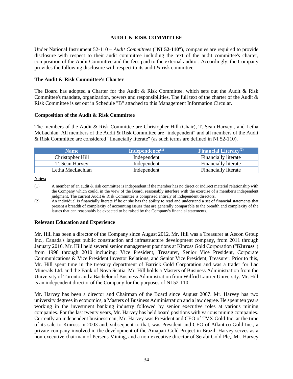#### **AUDIT & RISK COMMITTEE**

<span id="page-35-0"></span>Under National Instrument 52-110 – *Audit Committees* ("**NI 52-110**"), companies are required to provide disclosure with respect to their audit committee including the text of the audit committee's charter, composition of the Audit Committee and the fees paid to the external auditor. Accordingly, the Company provides the following disclosure with respect to its audit & risk committee.

#### **The Audit & Risk Committee's Charter**

The Board has adopted a Charter for the Audit & Risk Committee, which sets out the Audit & Risk Committee's mandate, organization, powers and responsibilities. The full text of the charter of the Audit & Risk Committee is set out in Schedule "B" attached to this Management Information Circular.

#### **Composition of the Audit & Risk Committee**

The members of the Audit & Risk Committee are Christopher Hill (Chair), T. Sean Harvey , and Letha McLachlan. All members of the Audit & Risk Committee are "independent" and all members of the Audit & Risk Committee are considered "financially literate" (as such terms are defined in NI 52-110).

| <b>Name</b>      | Independence $^{(1)}$ | <b>Financial Literacy</b> $^{(2)}$ |
|------------------|-----------------------|------------------------------------|
| Christopher Hill | Independent           | <b>Financially literate</b>        |
| T. Sean Harvey   | Independent           | Financially literate               |
| Letha MacLachlan | Independent           | Financially literate               |

**Notes:**

- $(1)$  A member of an audit  $\&$  risk committee is independent if the member has no direct or indirect material relationship with the Company which could, in the view of the Board, reasonably interfere with the exercise of a member's independent judgment. The current Audit & Risk Committee is comprised entirely of independent directors.
- (2) An individual is financially literate if he or she has the ability to read and understand a set of financial statements that present a breadth of complexity of accounting issues that are generally comparable to the breadth and complexity of the issues that can reasonably be expected to be raised by the Company's financial statements.

### **Relevant Education and Experience**

Mr. Hill has been a director of the Company since August 2012. Mr. Hill was a Treasurer at Aecon Group Inc., Canada's largest public construction and infrastructure development company, from 2011 through January 2016. Mr. Hill held several senior management positions at Kinross Gold Corporation ("**Kinross**") from 1998 through 2010 including: Vice President, Treasurer, Senior Vice President, Corporate Communications & Vice President Investor Relations, and Senior Vice President, Treasurer. Prior to this, Mr. Hill spent time in the treasury department of Barrick Gold Corporation and was a trader for Lac Minerals Ltd. and the Bank of Nova Scotia. Mr. Hill holds a Masters of Business Administration from the University of Toronto and a Bachelor of Business Administration from Wilfrid Laurier University. Mr. Hill is an independent director of the Company for the purposes of NI 52-110.

Mr. Harvey has been a director and Chairman of the Board since August 2007. Mr. Harvey has two university degrees in economics, a Masters of Business Administration and a law degree. He spent ten years working in the investment banking industry followed by senior executive roles at various mining companies. For the last twenty years, Mr. Harvey has held board positions with various mining companies. Currently an independent businessman, Mr. Harvey was President and CEO of TVX Gold Inc. at the time of its sale to Kinross in 2003 and, subsequent to that, was President and CEO of Atlantico Gold Inc., a private company involved in the development of the Amapari Gold Project in Brazil. Harvey serves as a non-executive chairman of Perseus Mining, and a non-executive director of Serabi Gold Plc,. Mr. Harvey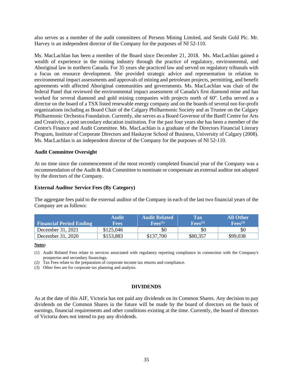also serves as a member of the audit committees of Perseus Mining Limited, and Serabi Gold Plc. Mr. Harvey is an independent director of the Company for the purposes of NI 52-110.

Ms. MacLachlan has been a member of the Board since December 21, 2018. Ms. MacLachlan gained a wealth of experience in the mining industry through the practice of regulatory, environmental, and Aboriginal law in northern Canada. For 35 years she practiced law and served on regulatory tribunals with a focus on resource development. She provided strategic advice and representation in relation to environmental impact assessments and approvals of mining and petroleum projects, permitting, and benefit agreements with affected Aboriginal communities and governments. Ms. MacLachlan was chair of the federal Panel that reviewed the environmental impact assessment of Canada's first diamond mine and has worked for several diamond and gold mining companies with projects north of 60°. Letha served as a director on the board of a TSX listed renewable energy company and on the boards of several not-for-profit organizations including as Board Chair of the Calgary Philharmonic Society and as Trustee on the Calgary Philharmonic Orchestra Foundation. Currently, she serves as a Board Governor of the Banff Centre for Arts and Creativity, a post secondary education institution. For the past four years she has been a member of the Centre's Finance and Audit Committee. Ms. MacLachlan is a graduate of the Directors Financial Literary Program, Institute of Corporate Directors and Haskayne School of Business, University of Calgary (2008). Ms. MacLachlan is an independent director of the Company for the purposes of NI 52-110.

#### **Audit Committee Oversight**

At no time since the commencement of the most recently completed financial year of the Company was a recommendation of the Audit & Risk Committee to nominate or compensate an external auditor not adopted by the directors of the Company.

#### **External Auditor Service Fees (By Category)**

The aggregate fees paid to the external auditor of the Company in each of the last two financial years of the Company are as follows:

|                                | Audit       | <b>Audit Related</b>         | $\textbf{Tax}^{\dagger}$ | All Other           |
|--------------------------------|-------------|------------------------------|--------------------------|---------------------|
| <b>Financial Period Ending</b> | <b>Fees</b> | $\mathrm{Fees}^\mathrm{(1)}$ | $\text{Fees}^{(2)}$      | $\text{Fees}^{(3)}$ |
| December 31, 2021              | \$125,046   | \$0                          | \$0                      | \$0                 |
| December 31, 2020              | \$153,883   | \$137,700                    | \$80,357                 | \$99,038            |

#### **Notes:**

(1) Audit Related Fees relate to services associated with regulatory reporting compliance in connection with the Company's prospectus and secondary financings.

(2) Tax Fees relate to the preparation of corporate income tax returns and compliance.

<span id="page-36-0"></span>(3) Other fees are for corporate tax planning and analysis.

### **DIVIDENDS**

As at the date of this AIF, Victoria has not paid any dividends on its Common Shares. Any decision to pay dividends on the Common Shares in the future will be made by the board of directors on the basis of earnings, financial requirements and other conditions existing at the time. Currently, the board of directors of Victoria does not intend to pay any dividends.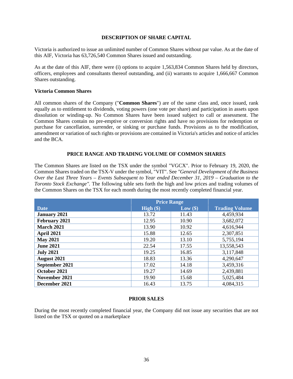### **DESCRIPTION OF SHARE CAPITAL**

<span id="page-37-0"></span>Victoria is authorized to issue an unlimited number of Common Shares without par value. As at the date of this AIF, Victoria has 63,726,540 Common Shares issued and outstanding.

As at the date of this AIF, there were (i) options to acquire 1,563,834 Common Shares held by directors, officers, employees and consultants thereof outstanding, and (ii) warrants to acquire 1,666,667 Common Shares outstanding.

### **Victoria Common Shares**

All common shares of the Company ("**Common Shares**") are of the same class and, once issued, rank equally as to entitlement to dividends, voting powers (one vote per share) and participation in assets upon dissolution or winding-up. No Common Shares have been issued subject to call or assessment. The Common Shares contain no pre-emptive or conversion rights and have no provisions for redemption or purchase for cancellation, surrender, or sinking or purchase funds. Provisions as to the modification, amendment or variation of such rights or provisions are contained in Victoria's articles and notice of articles and the BCA.

### **PRICE RANGE AND TRADING VOLUME OF COMMON SHARES**

<span id="page-37-1"></span>The Common Shares are listed on the TSX under the symbol "VGCX". Prior to February 19, 2020, the Common Shares traded on the TSX-V under the symbol, "VIT". See *"General Development of the Business Over the Last Three Years – Events Subsequent to Year ended December 31, 2019 – Graduation to the Toronto Stock Exchange".* The following table sets forth the high and low prices and trading volumes of the Common Shares on the TSX for each month during the most recently completed financial year.

|                      | <b>Price Range</b> |         |                       |
|----------------------|--------------------|---------|-----------------------|
| <b>Date</b>          | $High (\$)$        | Low(\$) | <b>Trading Volume</b> |
| January 2021         | 13.72              | 11.43   | 4,459,934             |
| <b>February 2021</b> | 12.95              | 10.90   | 3,682,072             |
| <b>March 2021</b>    | 13.90              | 10.92   | 4,616,944             |
| April 2021           | 15.88              | 12.65   | 2,307,851             |
| <b>May 2021</b>      | 19.20              | 13.10   | 5,755,194             |
| <b>June 2021</b>     | 22.54              | 17.55   | 13,558,543            |
| <b>July 2021</b>     | 19.25              | 16.85   | 3,117,848             |
| <b>August 2021</b>   | 18.83              | 13.36   | 4,290,647             |
| September 2021       | 17.02              | 14.18   | 3,459,316             |
| October 2021         | 19.27              | 14.69   | 2,439,881             |
| November 2021        | 19.90              | 15.68   | 5,025,484             |
| December 2021        | 16.43              | 13.75   | 4,084,315             |

### **PRIOR SALES**

<span id="page-37-2"></span>During the most recently completed financial year, the Company did not issue any securities that are not listed on the TSX or quoted on a marketplace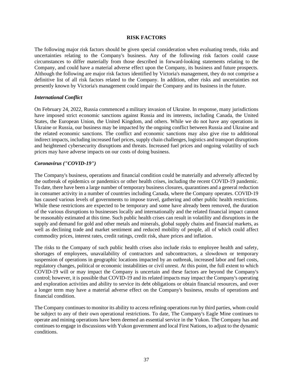#### **RISK FACTORS**

<span id="page-38-0"></span>The following major risk factors should be given special consideration when evaluating trends, risks and uncertainties relating to the Company's business. Any of the following risk factors could cause circumstances to differ materially from those described in forward-looking statements relating to the Company, and could have a material adverse effect upon the Company, its business and future prospects. Although the following are major risk factors identified by Victoria's management, they do not comprise a definitive list of all risk factors related to the Company. In addition, other risks and uncertainties not presently known by Victoria's management could impair the Company and its business in the future.

### *International Conflict*

On February 24, 2022, Russia commenced a military invasion of Ukraine. In response, many jurisdictions have imposed strict economic sanctions against Russia and its interests, including Canada, the United States, the European Union, the United Kingdom, and others. While we do not have any operations in Ukraine or Russia, our business may be impacted by the ongoing conflict between Russia and Ukraine and the related economic sanctions. The conflict and economic sanctions may also give rise to additional indirect impacts, including increased fuel prices, supply chain challenges, logistics and transport disruptions and heightened cybersecurity disruptions and threats. Increased fuel prices and ongoing volatility of such prices may have adverse impacts on our costs of doing business.

#### *Coronavirus ("COVID-19")*

The Company's business, operations and financial condition could be materially and adversely affected by the outbreak of epidemics or pandemics or other health crises, including the recent COVID-19 pandemic. To date, there have been a large number of temporary business closures, quarantines and a general reduction in consumer activity in a number of countries including Canada, where the Company operates. COVID-19 has caused various levels of governments to impose travel, gathering and other public health restrictions. While these restrictions are expected to be temporary and some have already been removed, the duration of the various disruptions to businesses locally and internationally and the related financial impact cannot be reasonably estimated at this time. Such public health crises can result in volatility and disruptions in the supply and demand for gold and other metals and minerals, global supply chains and financial markets, as well as declining trade and market sentiment and reduced mobility of people, all of which could affect commodity prices, interest rates, credit ratings, credit risk, share prices and inflation.

The risks to the Company of such public health crises also include risks to employee health and safety, shortages of employees, unavailability of contractors and subcontractors, a slowdown or temporary suspension of operations in geographic locations impacted by an outbreak, increased labor and fuel costs, regulatory changes, political or economic instabilities or civil unrest. At this point, the full extent to which COVID-19 will or may impact the Company is uncertain and these factors are beyond the Company's control; however, it is possible that COVID-19 and its related impacts may impact the Company's operating and exploration activities and ability to service its debt obligations or obtain financial resources, and over a longer term may have a material adverse effect on the Company's business, results of operations and financial condition.

The Company continues to monitor its ability to access refining operations run by third parties, whom could be subject to any of their own operational restrictions. To date, The Company's Eagle Mine continues to operate and mining operations have been deemed an essential service in the Yukon. The Company has and continues to engage in discussions with Yukon government and local First Nations, to adjust to the dynamic conditions.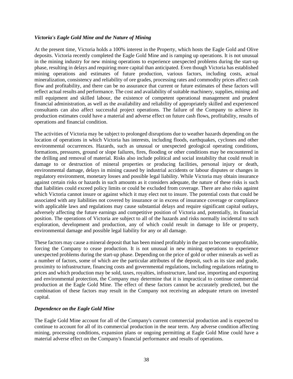### *Victoria's Eagle Gold Mine and the Nature of Mining*

At the present time, Victoria holds a 100% interest in the Property, which hosts the Eagle Gold and Olive deposits. Victoria recently completed the Eagle Gold Mine and is ramping up operations. It is not unusual in the mining industry for new mining operations to experience unexpected problems during the start-up phase, resulting in delays and requiring more capital than anticipated. Even though Victoria has established mining operations and estimates of future production, various factors, including costs, actual mineralization, consistency and reliability of ore grades, processing rates and commodity prices affect cash flow and profitability, and there can be no assurance that current or future estimates of these factors will reflect actual results and performance. The cost and availability of suitable machinery, supplies, mining and mill equipment and skilled labour, the existence of competent operational management and prudent financial administration, as well as the availability and reliability of appropriately skilled and experienced consultants can also affect successful project operations. The failure of the Company to achieve its production estimates could have a material and adverse effect on future cash flows, profitability, results of operations and financial condition.

The activities of Victoria may be subject to prolonged disruptions due to weather hazards depending on the location of operations in which Victoria has interests, including floods, earthquakes, cyclones and other environmental occurrences. Hazards, such as unusual or unexpected geological operating conditions, formations, pressures, ground or slope failures, fires, flooding or other conditions may be encountered in the drilling and removal of material. Risks also include political and social instability that could result in damage to or destruction of mineral properties or producing facilities, personal injury or death, environmental damage, delays in mining caused by industrial accidents or labour disputes or changes in regulatory environment, monetary losses and possible legal liability. While Victoria may obtain insurance against certain risks or hazards in such amounts as it considers adequate, the nature of these risks is such that liabilities could exceed policy limits or could be excluded from coverage. There are also risks against which Victoria cannot insure or against which it may elect not to insure. The potential costs that could be associated with any liabilities not covered by insurance or in excess of insurance coverage or compliance with applicable laws and regulations may cause substantial delays and require significant capital outlays, adversely affecting the future earnings and competitive position of Victoria and, potentially, its financial position. The operations of Victoria are subject to all of the hazards and risks normally incidental to such exploration, development and production, any of which could result in damage to life or property, environmental damage and possible legal liability for any or all damage.

These factors may cause a mineral deposit that has been mined profitably in the past to become unprofitable, forcing the Company to cease production. It is not unusual in new mining operations to experience unexpected problems during the start-up phase. Depending on the price of gold or other minerals as well as a number of factors, some of which are the particular attributes of the deposit, such as its size and grade, proximity to infrastructure, financing costs and governmental regulations, including regulations relating to prices and which production may be sold, taxes, royalties, infrastructure, land use, importing and exporting and environmental protection, the Company may determine that it is impractical to continue commercial production at the Eagle Gold Mine. The effect of these factors cannot be accurately predicted, but the combination of these factors may result in the Company not receiving an adequate return on invested capital.

### *Dependence on the Eagle Gold Mine*

The Eagle Gold Mine account for all of the Company's current commercial production and is expected to continue to account for all of its commercial production in the near term. Any adverse condition affecting mining, processing conditions, expansion plans or ongoing permitting at Eagle Gold Mine could have a material adverse effect on the Company's financial performance and results of operations.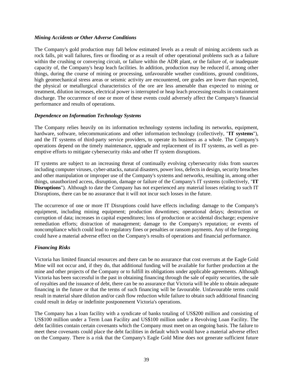### *Mining Accidents or Other Adverse Conditions*

The Company's gold production may fall below estimated levels as a result of mining accidents such as rock falls, pit wall failures, fires or flooding or as a result of other operational problems such as a failure within the crushing or conveying circuit, or failure within the ADR plant, or the failure of, or inadequate capacity of, the Company's heap leach facilities. In addition, production may be reduced if, among other things, during the course of mining or processing, unfavourable weather conditions, ground conditions, high geomechanical stress areas or seismic activity are encountered, ore grades are lower than expected, the physical or metallurgical characteristics of the ore are less amenable than expected to mining or treatment, dilution increases, electrical power is interrupted or heap leach processing results in containment discharge. The occurrence of one or more of these events could adversely affect the Company's financial performance and results of operations.

### *Dependence on Information Technology Systems*

The Company relies heavily on its information technology systems including its networks, equipment, hardware, software, telecommunications and other information technology (collectively, "**IT systems**"), and the IT systems of third-party service providers, to operate its business as a whole. The Company's operations depend on the timely maintenance, upgrade and replacement of its IT systems, as well as preemptive efforts to mitigate cybersecurity risks and other IT system disruptions.

IT systems are subject to an increasing threat of continually evolving cybersecurity risks from sources including computer viruses, cyber-attacks, natural disasters, power loss, defects in design, security breaches and other manipulation or improper use of the Company's systems and networks, resulting in, among other things, unauthorized access, disruption, damage or failure of the Company's IT systems (collectively, "**IT Disruptions**"). Although to date the Company has not experienced any material losses relating to such IT Disruptions, there can be no assurance that it will not incur such losses in the future.

The occurrence of one or more IT Disruptions could have effects including: damage to the Company's equipment, including mining equipment; production downtimes; operational delays; destruction or corruption of data; increases in capital expenditures; loss of production or accidental discharge; expensive remediation efforts; distraction of management; damage to the Company's reputation; or events of noncompliance which could lead to regulatory fines or penalties or ransom payments. Any of the foregoing could have a material adverse effect on the Company's results of operations and financial performance.

### *Financing Risks*

Victoria has limited financial resources and there can be no assurance that cost overruns at the Eagle Gold Mine will not occur and, if they do, that additional funding will be available for further production at the mine and other projects of the Company or to fulfill its obligations under applicable agreements. Although Victoria has been successful in the past in obtaining financing through the sale of equity securities, the sale of royalties and the issuance of debt, there can be no assurance that Victoria will be able to obtain adequate financing in the future or that the terms of such financing will be favourable. Unfavourable terms could result in material share dilution and/or cash flow reduction while failure to obtain such additional financing could result in delay or indefinite postponement Victoria's operations.

The Company has a loan facility with a syndicate of banks totaling of US\$200 million and consisting of US\$100 million under a Term Loan Facility and US\$100 million under a Revolving Loan Facility. The debt facilities contain certain covenants which the Company must meet on an ongoing basis. The failure to meet these covenants could place the debt facilities in default which would have a material adverse effect on the Company. There is a risk that the Company's Eagle Gold Mine does not generate sufficient future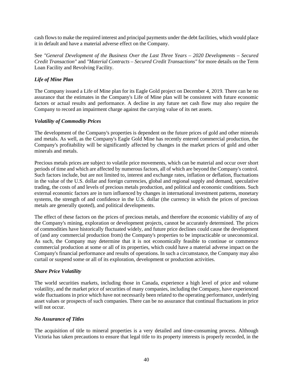cash flows to make the required interest and principal payments under the debt facilities, which would place it in default and have a material adverse effect on the Company.

See *"General Development of the Business Over the Last Three Years – 2020 Developments – Secured Credit Transaction"* and *"Material Contracts – Secured Credit Transactions"* for more details on the Term Loan Facility and Revolving Facility.

### *Life of Mine Plan*

The Company issued a Life of Mine plan for its Eagle Gold project on December 4, 2019. There can be no assurance that the estimates in the Company's Life of Mine plan will be consistent with future economic factors or actual results and performance. A decline in any future net cash flow may also require the Company to record an impairment charge against the carrying value of its net assets.

### *Volatility of Commodity Prices*

The development of the Company's properties is dependent on the future prices of gold and other minerals and metals. As well, as the Company's Eagle Gold Mine has recently entered commercial production, the Company's profitability will be significantly affected by changes in the market prices of gold and other minerals and metals.

Precious metals prices are subject to volatile price movements, which can be material and occur over short periods of time and which are affected by numerous factors, all of which are beyond the Company's control. Such factors include, but are not limited to, interest and exchange rates, inflation or deflation, fluctuations in the value of the U.S. dollar and foreign currencies, global and regional supply and demand, speculative trading, the costs of and levels of precious metals production, and political and economic conditions. Such external economic factors are in turn influenced by changes in international investment patterns, monetary systems, the strength of and confidence in the U.S. dollar (the currency in which the prices of precious metals are generally quoted), and political developments.

The effect of these factors on the prices of precious metals, and therefore the economic viability of any of the Company's mining, exploration or development projects, cannot be accurately determined. The prices of commodities have historically fluctuated widely, and future price declines could cause the development of (and any commercial production from) the Company's properties to be impracticable or uneconomical. As such, the Company may determine that it is not economically feasible to continue or commence commercial production at some or all of its properties, which could have a material adverse impact on the Company's financial performance and results of operations. In such a circumstance, the Company may also curtail or suspend some or all of its exploration, development or production activities.

### *Share Price Volatility*

The world securities markets, including those in Canada, experience a high level of price and volume volatility, and the market price of securities of many companies, including the Company, have experienced wide fluctuations in price which have not necessarily been related to the operating performance, underlying asset values or prospects of such companies. There can be no assurance that continual fluctuations in price will not occur.

### *No Assurance of Titles*

The acquisition of title to mineral properties is a very detailed and time-consuming process. Although Victoria has taken precautions to ensure that legal title to its property interests is properly recorded, in the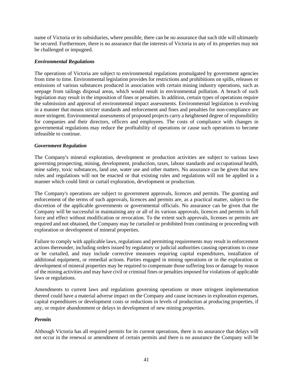name of Victoria or its subsidiaries, where possible, there can be no assurance that such title will ultimately be secured. Furthermore, there is no assurance that the interests of Victoria in any of its properties may not be challenged or impugned.

### *Environmental Regulations*

The operations of Victoria are subject to environmental regulations promulgated by government agencies from time to time. Environmental legislation provides for restrictions and prohibitions on spills, releases or emissions of various substances produced in association with certain mining industry operations, such as seepage from tailings disposal areas, which would result in environmental pollution. A breach of such legislation may result in the imposition of fines or penalties. In addition, certain types of operations require the submission and approval of environmental impact assessments. Environmental legislation is evolving in a manner that means stricter standards and enforcement and fines and penalties for non-compliance are more stringent. Environmental assessments of proposed projects carry a heightened degree of responsibility for companies and their directors, officers and employees. The costs of compliance with changes in governmental regulations may reduce the profitability of operations or cause such operations to become infeasible to continue.

### *Government Regulation*

The Company's mineral exploration, development or production activities are subject to various laws governing prospecting, mining, development, production, taxes, labour standards and occupational health, mine safety, toxic substances, land use, water use and other matters. No assurance can be given that new rules and regulations will not be enacted or that existing rules and regulations will not be applied in a manner which could limit or curtail exploration, development or production.

The Company's operations are subject to government approvals, licences and permits. The granting and enforcement of the terms of such approvals, licences and permits are, as a practical matter, subject to the discretion of the applicable governments or governmental officials. No assurance can be given that the Company will be successful in maintaining any or all of its various approvals, licences and permits in full force and effect without modification or revocation. To the extent such approvals, licenses or permits are required and not obtained, the Company may be curtailed or prohibited from continuing or proceeding with exploration or development of mineral properties.

Failure to comply with applicable laws, regulations and permitting requirements may result in enforcement actions thereunder, including orders issued by regulatory or judicial authorities causing operations to cease or be curtailed, and may include corrective measures requiring capital expenditures, installation of additional equipment, or remedial actions. Parties engaged in mining operations or in the exploration or development of mineral properties may be required to compensate those suffering loss or damage by reason of the mining activities and may have civil or criminal fines or penalties imposed for violations of applicable laws or regulations.

Amendments to current laws and regulations governing operations or more stringent implementation thereof could have a material adverse impact on the Company and cause increases in exploration expenses, capital expenditures or development costs or reductions in levels of production at producing properties, if any, or require abandonment or delays in development of new mining properties.

### *Permits*

Although Victoria has all required permits for its current operations, there is no assurance that delays will not occur in the renewal or amendment of certain permits and there is no assurance the Company will be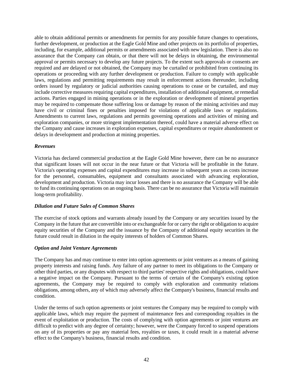able to obtain additional permits or amendments for permits for any possible future changes to operations, further development, or production at the Eagle Gold Mine and other projects on its portfolio of properties, including, for example, additional permits or amendments associated with new legislation. There is also no assurance that the Company can obtain, or that there will not be delays in obtaining, the environmental approval or permits necessary to develop any future projects. To the extent such approvals or consents are required and are delayed or not obtained, the Company may be curtailed or prohibited from continuing its operations or proceeding with any further development or production. Failure to comply with applicable laws, regulations and permitting requirements may result in enforcement actions thereunder, including orders issued by regulatory or judicial authorities causing operations to cease or be curtailed, and may include corrective measures requiring capital expenditures, installation of additional equipment, or remedial actions. Parties engaged in mining operations or in the exploration or development of mineral properties may be required to compensate those suffering loss or damage by reason of the mining activities and may have civil or criminal fines or penalties imposed for violations of applicable laws or regulations. Amendments to current laws, regulations and permits governing operations and activities of mining and exploration companies, or more stringent implementation thereof, could have a material adverse effect on the Company and cause increases in exploration expenses, capital expenditures or require abandonment or delays in development and production at mining properties.

### *Revenues*

Victoria has declared commercial production at the Eagle Gold Mine however, there can be no assurance that significant losses will not occur in the near future or that Victoria will be profitable in the future. Victoria's operating expenses and capital expenditures may increase in subsequent years as costs increase for the personnel, consumables, equipment and consultants associated with advancing exploration, development and production. Victoria may incur losses and there is no assurance the Company will be able to fund its continuing operations on an ongoing basis. There can be no assurance that Victoria will maintain long-term profitability.

### *Dilution and Future Sales of Common Shares*

The exercise of stock options and warrants already issued by the Company or any securities issued by the Company in the future that are convertible into or exchangeable for or carry the right or obligation to acquire equity securities of the Company and the issuance by the Company of additional equity securities in the future could result in dilution in the equity interests of holders of Common Shares.

### *Option and Joint Venture Agreements*

The Company has and may continue to enter into option agreements or joint ventures as a means of gaining property interests and raising funds. Any failure of any partner to meet its obligations to the Company or other third parties, or any disputes with respect to third parties' respective rights and obligations, could have a negative impact on the Company. Pursuant to the terms of certain of the Company's existing option agreements, the Company may be required to comply with exploration and community relations obligations, among others, any of which may adversely affect the Company's business, financial results and condition.

Under the terms of such option agreements or joint ventures the Company may be required to comply with applicable laws, which may require the payment of maintenance fees and corresponding royalties in the event of exploitation or production. The costs of complying with option agreements or joint ventures are difficult to predict with any degree of certainty; however, were the Company forced to suspend operations on any of its properties or pay any material fees, royalties or taxes, it could result in a material adverse effect to the Company's business, financial results and condition.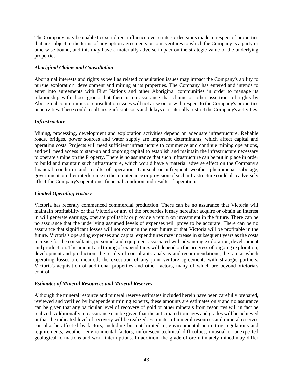The Company may be unable to exert direct influence over strategic decisions made in respect of properties that are subject to the terms of any option agreements or joint ventures to which the Company is a party or otherwise bound, and this may have a materially adverse impact on the strategic value of the underlying properties.

### *Aboriginal Claims and Consultation*

Aboriginal interests and rights as well as related consultation issues may impact the Company's ability to pursue exploration, development and mining at its properties. The Company has entered and intends to enter into agreements with First Nations and other Aboriginal communities in order to manage its relationship with those groups but there is no assurance that claims or other assertions of rights by Aboriginal communities or consultation issues will not arise on or with respect to the Company's properties or activities. These could result in significant costs and delays or materially restrict the Company's activities.

### *Infrastructure*

Mining, processing, development and exploration activities depend on adequate infrastructure. Reliable roads, bridges, power sources and water supply are important determinants, which affect capital and operating costs. Projects will need sufficient infrastructure to commence and continue mining operations, and will need access to start-up and ongoing capital to establish and maintain the infrastructure necessary to operate a mine on the Property. There is no assurance that such infrastructure can be put in place in order to build and maintain such infrastructure, which would have a material adverse effect on the Company's financial condition and results of operation. Unusual or infrequent weather phenomena, sabotage, government or other interference in the maintenance or provision of such infrastructure could also adversely affect the Company's operations, financial condition and results of operations.

### *Limited Operating History*

Victoria has recently commenced commercial production. There can be no assurance that Victoria will maintain profitability or that Victoria or any of the properties it may hereafter acquire or obtain an interest in will generate earnings, operate profitably or provide a return on investment in the future. There can be no assurance that the underlying assumed levels of expenses will prove to be accurate. There can be no assurance that significant losses will not occur in the near future or that Victoria will be profitable in the future. Victoria's operating expenses and capital expenditures may increase in subsequent years as the costs increase for the consultants, personnel and equipment associated with advancing exploration, development and production. The amount and timing of expenditures will depend on the progress of ongoing exploration, development and production, the results of consultants' analysis and recommendations, the rate at which operating losses are incurred, the execution of any joint venture agreements with strategic partners, Victoria's acquisition of additional properties and other factors, many of which are beyond Victoria's control.

### *Estimates of Mineral Resources and Mineral Reserves*

Although the mineral resource and mineral reserve estimates included herein have been carefully prepared, reviewed and verified by independent mining experts, these amounts are estimates only and no assurance can be given that any particular level of recovery of gold or other minerals from resources will in fact be realized. Additionally, no assurance can be given that the anticipated tonnages and grades will be achieved or that the indicated level of recovery will be realized. Estimates of mineral resources and mineral reserves can also be affected by factors, including but not limited to, environmental permitting regulations and requirements, weather, environmental factors, unforeseen technical difficulties, unusual or unexpected geological formations and work interruptions. In addition, the grade of ore ultimately mined may differ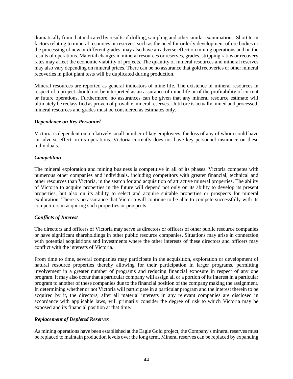dramatically from that indicated by results of drilling, sampling and other similar examinations. Short term factors relating to mineral resources or reserves, such as the need for orderly development of ore bodies or the processing of new or different grades, may also have an adverse effect on mining operations and on the results of operations. Material changes in mineral resources or reserves, grades, stripping ratios or recovery rates may affect the economic viability of projects. The quantity of mineral resources and mineral reserves may also vary depending on mineral prices. There can be no assurance that gold recoveries or other mineral recoveries in pilot plant tests will be duplicated during production.

Mineral resources are reported as general indicators of mine life. The existence of mineral resources in respect of a project should not be interpreted as an assurance of mine life or of the profitability of current or future operations. Furthermore, no assurances can be given that any mineral resource estimate will ultimately be reclassified as proven of provable mineral reserves. Until ore is actually mined and processed, mineral resources and grades must be considered as estimates only.

### *Dependence on Key Personnel*

Victoria is dependent on a relatively small number of key employees, the loss of any of whom could have an adverse effect on its operations. Victoria currently does not have key personnel insurance on these individuals.

### *Competition*

The mineral exploration and mining business is competitive in all of its phases. Victoria competes with numerous other companies and individuals, including competitors with greater financial, technical and other resources than Victoria, in the search for and acquisition of attractive mineral properties. The ability of Victoria to acquire properties in the future will depend not only on its ability to develop its present properties, but also on its ability to select and acquire suitable properties or prospects for mineral exploration. There is no assurance that Victoria will continue to be able to compete successfully with its competitors in acquiring such properties or prospects.

# *Conflicts of Interest*

The directors and officers of Victoria may serve as directors or officers of other public resource companies or have significant shareholdings in other public resource companies. Situations may arise in connection with potential acquisitions and investments where the other interests of these directors and officers may conflict with the interests of Victoria.

From time to time, several companies may participate in the acquisition, exploration or development of natural resource properties thereby allowing for their participation in larger programs, permitting involvement in a greater number of programs and reducing financial exposure in respect of any one program. It may also occur that a particular company will assign all or a portion of its interest in a particular program to another of these companies due to the financial position of the company making the assignment. In determining whether or not Victoria will participate in a particular program and the interest therein to be acquired by it, the directors, after all material interests in any relevant companies are disclosed in accordance with applicable laws, will primarily consider the degree of risk to which Victoria may be exposed and its financial position at that time.

### *Replacement of Depleted Reserves*

As mining operations have been established at the Eagle Gold project, the Company's mineral reserves must be replaced to maintain production levels over the long term. Mineral reserves can be replaced by expanding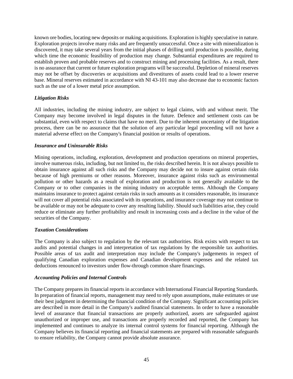known ore bodies, locating new deposits or making acquisitions. Exploration is highly speculative in nature. Exploration projects involve many risks and are frequently unsuccessful. Once a site with mineralization is discovered, it may take several years from the initial phases of drilling until production is possible, during which time the economic feasibility of production may change. Substantial expenditures are required to establish proven and probable reserves and to construct mining and processing facilities. As a result, there is no assurance that current or future exploration programs will be successful. Depletion of mineral reserves may not be offset by discoveries or acquisitions and divestitures of assets could lead to a lower reserve base. Mineral reserves estimated in accordance with NI 43-101 may also decrease due to economic factors such as the use of a lower metal price assumption.

### *Litigation Risks*

All industries, including the mining industry, are subject to legal claims, with and without merit. The Company may become involved in legal disputes in the future. Defence and settlement costs can be substantial, even with respect to claims that have no merit. Due to the inherent uncertainty of the litigation process, there can be no assurance that the solution of any particular legal proceeding will not have a material adverse effect on the Company's financial position or results of operations.

### *Insurance and Uninsurable Risks*

Mining operations, including, exploration, development and production operations on mineral properties, involve numerous risks, including, but not limited to, the risks described herein. It is not always possible to obtain insurance against all such risks and the Company may decide not to insure against certain risks because of high premiums or other reasons. Moreover, insurance against risks such as environmental pollution or other hazards as a result of exploration and production is not generally available to the Company or to other companies in the mining industry on acceptable terms. Although the Company maintains insurance to protect against certain risks in such amounts as it considers reasonable, its insurance will not cover all potential risks associated with its operations, and insurance coverage may not continue to be available or may not be adequate to cover any resulting liability. Should such liabilities arise, they could reduce or eliminate any further profitability and result in increasing costs and a decline in the value of the securities of the Company.

### *Taxation Considerations*

The Company is also subject to regulation by the relevant tax authorities. Risk exists with respect to tax audits and potential changes in and interpretation of tax regulations by the responsible tax authorities. Possible areas of tax audit and interpretation may include the Company's judgements in respect of qualifying Canadian exploration expenses and Canadian development expenses and the related tax deductions renounced to investors under flow-through common share financings.

### *Accounting Policies and Internal Controls*

The Company prepares its financial reports in accordance with International Financial Reporting Standards. In preparation of financial reports, management may need to rely upon assumptions, make estimates or use their best judgment in determining the financial condition of the Company. Significant accounting policies are described in more detail in the Company's audited financial statements. In order to have a reasonable level of assurance that financial transactions are properly authorized, assets are safeguarded against unauthorized or improper use, and transactions are properly recorded and reported, the Company has implemented and continues to analyze its internal control systems for financial reporting. Although the Company believes its financial reporting and financial statements are prepared with reasonable safeguards to ensure reliability, the Company cannot provide absolute assurance.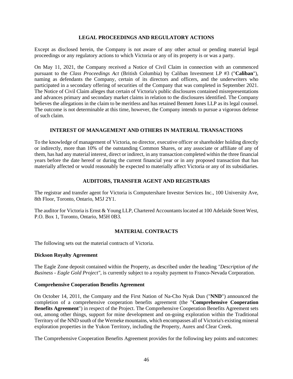#### **LEGAL PROCEEDINGS AND REGULATORY ACTIONS**

<span id="page-47-0"></span>Except as disclosed herein, the Company is not aware of any other actual or pending material legal proceedings or any regulatory actions to which Victoria or any of its property is or was a party.

On May 11, 2021, the Company received a Notice of Civil Claim in connection with an commenced pursuant to the *Class Proceedings Act* (British Columbia) by Caliban Investment LP #3 ("**Caliban**"), naming as defendants the Company, certain of its directors and officers, and the underwriters who participated in a secondary offering of securities of the Company that was completed in September 2021. The Notice of Civil Claim alleges that certain of Victoria's public disclosures contained misrepresentations and advances primary and secondary market claims in relation to the disclosures identified. The Company believes the allegations in the claim to be meritless and has retained Bennett Jones LLP as its legal counsel. The outcome is not determinable at this time, however, the Company intends to pursue a vigorous defense of such claim.

### **INTEREST OF MANAGEMENT AND OTHERS IN MATERIAL TRANSACTIONS**

<span id="page-47-1"></span>To the knowledge of management of Victoria, no director, executive officer or shareholder holding directly or indirectly, more than 10% of the outstanding Common Shares, or any associate or affiliate of any of them, has had any material interest, direct or indirect, in any transaction completed within the three financial years before the date hereof or during the current financial year or in any proposed transaction that has materially affected or would reasonably be expected to materially affect Victoria or any of its subsidiaries.

### **AUDITORS, TRANSFER AGENT AND REGISTRARS**

<span id="page-47-2"></span>The registrar and transfer agent for Victoria is Computershare Investor Services Inc., 100 University Ave, 8th Floor, Toronto, Ontario, M5J 2Y1.

The auditor for Victoria is Ernst & Young LLP, Chartered Accountants located at 100 Adelaide Street West, P.O. Box 1, Toronto, Ontario, M5H 0B3.

# **MATERIAL CONTRACTS**

<span id="page-47-3"></span>The following sets out the material contracts of Victoria.

### **Dickson Royalty Agreement**

The Eagle Zone deposit contained within the Property, as described under the heading *"Description of the Business - Eagle Gold Project"*, is currently subject to a royalty payment to Franco-Nevada Corporation.

### **Comprehensive Cooperation Benefits Agreement**

On October 14, 2011, the Company and the First Nation of Na-Cho Nyak Dun ("**NND**") announced the completion of a comprehensive cooperation benefits agreement (the "**Comprehensive Cooperation Benefits Agreement**") in respect of the Project. The Comprehensive Cooperation Benefits Agreement sets out, among other things, support for mine development and on-going exploration within the Traditional Territory of the NND south of the Werneke mountains, which encompasses all of Victoria's existing mineral exploration properties in the Yukon Territory, including the Property, Aurex and Clear Creek.

The Comprehensive Cooperation Benefits Agreement provides for the following key points and outcomes: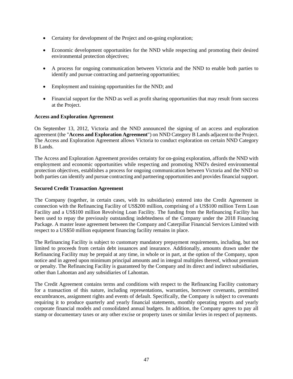- Certainty for development of the Project and on-going exploration;
- Economic development opportunities for the NND while respecting and promoting their desired environmental protection objectives;
- A process for ongoing communication between Victoria and the NND to enable both parties to identify and pursue contracting and partnering opportunities;
- Employment and training opportunities for the NND; and
- Financial support for the NND as well as profit sharing opportunities that may result from success at the Project.

### **Access and Exploration Agreement**

On September 13, 2012, Victoria and the NND announced the signing of an access and exploration agreement (the "**Access and Exploration Agreement**") on NND Category B Lands adjacent to the Project. The Access and Exploration Agreement allows Victoria to conduct exploration on certain NND Category B Lands.

The Access and Exploration Agreement provides certainty for on-going exploration, affords the NND with employment and economic opportunities while respecting and promoting NND's desired environmental protection objectives, establishes a process for ongoing communication between Victoria and the NND so both parties can identify and pursue contracting and partnering opportunities and provides financial support.

### **Secured Credit Transaction Agreement**

The Company (together, in certain cases, with its subsidiaries) entered into the Credit Agreement in connection with the Refinancing Facility of US\$200 million, comprising of a US\$100 million Term Loan Facility and a US\$100 million Revolving Loan Facility. The funding from the Refinancing Facility has been used to repay the previously outstanding indebtedness of the Company under the 2018 Financing Package. A master lease agreement between the Company and Caterpillar Financial Services Limited with respect to a US\$50 million equipment financing facility remains in place.

The Refinancing Facility is subject to customary mandatory prepayment requirements, including, but not limited to proceeds from certain debt issuances and insurance. Additionally, amounts drawn under the Refinancing Facility may be prepaid at any time, in whole or in part, at the option of the Company, upon notice and in agreed upon minimum principal amounts and in integral multiples thereof, without premium or penalty. The Refinancing Facility is guaranteed by the Company and its direct and indirect subsidiaries, other than Lahontan and any subsidiaries of Lahontan.

The Credit Agreement contains terms and conditions with respect to the Refinancing Facility customary for a transaction of this nature, including representations, warranties, borrower covenants, permitted encumbrances, assignment rights and events of default. Specifically, the Company is subject to covenants requiring it to produce quarterly and yearly financial statements, monthly operating reports and yearly corporate financial models and consolidated annual budgets. In addition, the Company agrees to pay all stamp or documentary taxes or any other excise or property taxes or similar levies in respect of payments.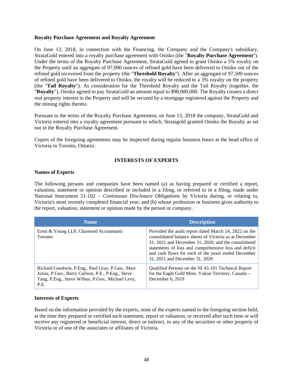#### **Royalty Purchase Agreement and Royalty Agreement**

On June 13, 2018, in connection with the Financing, the Company and the Company's subsidiary, StrataGold entered into a royalty purchase agreement with Osisko (the "**Royalty Purchase Agreement**"). Under the terms of the Royalty Purchase Agreement, StrataGold agreed to grant Osisko a 5% royalty on the Property until an aggregate of 97,000 ounces of refined gold have been delivered to Osisko out of the refined gold recovered from the property (the "**Threshold Royalty**"). After an aggregate of 97,500 ounces of refined gold have been delivered to Osisko, the royalty will be reduced to a 3% royalty on the property (the "**Tail Royalty**"). As consideration for the Threshold Royalty and the Tail Royalty (together, the "**Royalty**"), Osisko agreed to pay StrataGold an amount equal to \$98,000,000. The Royalty creates a direct real property interest in the Property and will be secured by a mortgage registered against the Property and the mining rights thereto.

Pursuant to the terms of the Royalty Purchase Agreement, on June 13, 2018 the company, StrataGold and Victoria entered into a royalty agreement pursuant to which, Stratagold granted Osisko the Royalty as set out in the Royalty Purchase Agreement.

Copies of the foregoing agreements may be inspected during regular business hours at the head office of Victoria in Toronto, Ontario.

### **INTERESTS OF EXPERTS**

#### <span id="page-49-0"></span>**Names of Experts**

The following persons and companies have been named (a) as having prepared or certified a report, valuation, statement or opinion described or included in a filing, or referred to in a filing, made under National Instrument 51-102 – *Continuous Disclosure Obligations* by Victoria during, or relating to, Victoria's most recently completed financial year; and (b) whose profession or business gives authority to the report, valuation, statement or opinion made by the person or company.

| <b>Name</b>                                                                                                                                                         | <b>Description</b>                                                                                                                                                                                                                                                                                                        |
|---------------------------------------------------------------------------------------------------------------------------------------------------------------------|---------------------------------------------------------------------------------------------------------------------------------------------------------------------------------------------------------------------------------------------------------------------------------------------------------------------------|
| Ernst & Young LLP, Chartered Accountants<br>Toronto                                                                                                                 | Provided the audit report dated March 24, 2022 on the<br>consolidated balance sheets of Victoria as at December<br>31, 2021 and December 31, 2020, and the consolidated<br>statements of loss and comprehensive loss and deficit<br>and cash flows for each of the years ended December<br>31, 2021 and December 31, 2020 |
| Richard Goodwin, P.Eng., Paul Gray, P.Geo., Marc<br>Jutras, P.Geo., Barry Carlson, P.E., P.Eng., Steve<br>Tang, P.Eng., Steve Wilbur, P.Geo., Michael Levy,<br>P.E. | Qualified Persons on the NI 43-101 Technical Report<br>for the Eagle Gold Mine, Yukon Territory, Canada -<br>December 6, 2019                                                                                                                                                                                             |

### **Interests of Experts**

Based on the information provided by the experts, none of the experts named in the foregoing section held, at the time they prepared or certified such statement, report or valuation, or received after such time or will receive any registered or beneficial interest, direct or indirect, in any of the securities or other property of Victoria or of one of the associates or affiliates of Victoria.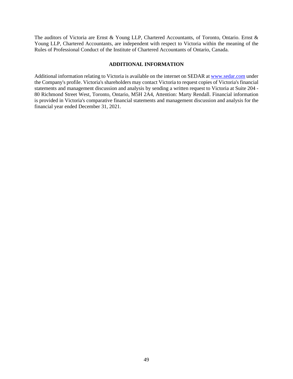The auditors of Victoria are Ernst & Young LLP, Chartered Accountants, of Toronto, Ontario. Ernst & Young LLP, Chartered Accountants, are independent with respect to Victoria within the meaning of the Rules of Professional Conduct of the Institute of Chartered Accountants of Ontario, Canada.

#### **ADDITIONAL INFORMATION**

<span id="page-50-0"></span>Additional information relating to Victoria is available on the internet on SEDAR at [www.sedar.com](http://www.sedar.com/) under the Company's profile. Victoria's shareholders may contact Victoria to request copies of Victoria's financial statements and management discussion and analysis by sending a written request to Victoria at Suite 204 - 80 Richmond Street West, Toronto, Ontario, M5H 2A4, Attention: Marty Rendall. Financial information is provided in Victoria's comparative financial statements and management discussion and analysis for the financial year ended December 31, 2021.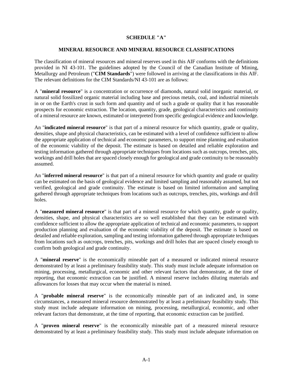### **SCHEDULE "A"**

### **MINERAL RESOURCE AND MINERAL RESOURCE CLASSIFICATIONS**

The classification of mineral resources and mineral reserves used in this AIF conforms with the definitions provided in NI 43-101. The guidelines adopted by the Council of the Canadian Institute of Mining, Metallurgy and Petroleum ("**CIM Standards**") were followed in arriving at the classifications in this AIF. The relevant definitions for the CIM Standards/NI 43-101 are as follows:

A "**mineral resource**" is a concentration or occurrence of diamonds, natural solid inorganic material, or natural solid fossilized organic material including base and precious metals, coal, and industrial minerals in or on the Earth's crust in such form and quantity and of such a grade or quality that it has reasonable prospects for economic extraction. The location, quantity, grade, geological characteristics and continuity of a mineral resource are known, estimated or interpreted from specific geological evidence and knowledge.

An "**indicated mineral resource**" is that part of a mineral resource for which quantity, grade or quality, densities, shape and physical characteristics, can be estimated with a level of confidence sufficient to allow the appropriate application of technical and economic parameters, to support mine planning and evaluation of the economic viability of the deposit. The estimate is based on detailed and reliable exploration and testing information gathered through appropriate techniques from locations such as outcrops, trenches, pits, workings and drill holes that are spaced closely enough for geological and grade continuity to be reasonably assumed.

An "**inferred mineral resource**" is that part of a mineral resource for which quantity and grade or quality can be estimated on the basis of geological evidence and limited sampling and reasonably assumed, but not verified, geological and grade continuity. The estimate is based on limited information and sampling gathered through appropriate techniques from locations such as outcrops, trenches, pits, workings and drill holes.

A "**measured mineral resource**" is that part of a mineral resource for which quantity, grade or quality, densities, shape, and physical characteristics are so well established that they can be estimated with confidence sufficient to allow the appropriate application of technical and economic parameters, to support production planning and evaluation of the economic viability of the deposit. The estimate is based on detailed and reliable exploration, sampling and testing information gathered through appropriate techniques from locations such as outcrops, trenches, pits, workings and drill holes that are spaced closely enough to confirm both geological and grade continuity.

A "**mineral reserve**" is the economically mineable part of a measured or indicated mineral resource demonstrated by at least a preliminary feasibility study. This study must include adequate information on mining, processing, metallurgical, economic and other relevant factors that demonstrate, at the time of reporting, that economic extraction can be justified. A mineral reserve includes diluting materials and allowances for losses that may occur when the material is mined.

A "**probable mineral reserve**" is the economically mineable part of an indicated and, in some circumstances, a measured mineral resource demonstrated by at least a preliminary feasibility study. This study must include adequate information on mining, processing, metallurgical, economic, and other relevant factors that demonstrate, at the time of reporting, that economic extraction can be justified.

A "**proven mineral reserve**" is the economically mineable part of a measured mineral resource demonstrated by at least a preliminary feasibility study. This study must include adequate information on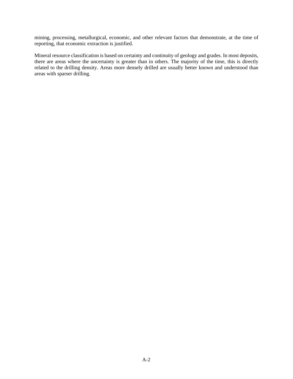mining, processing, metallurgical, economic, and other relevant factors that demonstrate, at the time of reporting, that economic extraction is justified.

Mineral resource classification is based on certainty and continuity of geology and grades. In most deposits, there are areas where the uncertainty is greater than in others. The majority of the time, this is directly related to the drilling density. Areas more densely drilled are usually better known and understood than areas with sparser drilling.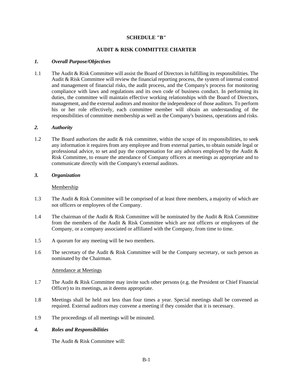#### **SCHEDULE "B"**

### **AUDIT & RISK COMMITTEE CHARTER**

#### *1. Overall Purpose/Objectives*

1.1 The Audit & Risk Committee will assist the Board of Directors in fulfilling its responsibilities. The Audit & Risk Committee will review the financial reporting process, the system of internal control and management of financial risks, the audit process, and the Company's process for monitoring compliance with laws and regulations and its own code of business conduct. In performing its duties, the committee will maintain effective working relationships with the Board of Directors, management, and the external auditors and monitor the independence of those auditors. To perform his or her role effectively, each committee member will obtain an understanding of the responsibilities of committee membership as well as the Company's business, operations and risks.

#### *2. Authority*

1.2 The Board authorizes the audit & risk committee, within the scope of its responsibilities, to seek any information it requires from any employee and from external parties, to obtain outside legal or professional advice, to set and pay the compensation for any advisors employed by the Audit  $\&$ Risk Committee, to ensure the attendance of Company officers at meetings as appropriate and to communicate directly with the Company's external auditors.

#### *3. Organization*

#### Membership

- 1.3 The Audit & Risk Committee will be comprised of at least three members, a majority of which are not officers or employees of the Company.
- 1.4 The chairman of the Audit & Risk Committee will be nominated by the Audit & Risk Committee from the members of the Audit & Risk Committee which are not officers or employees of the Company, or a company associated or affiliated with the Company, from time to time.
- 1.5 A quorum for any meeting will be two members.
- 1.6 The secretary of the Audit & Risk Committee will be the Company secretary, or such person as nominated by the Chairman.

#### Attendance at Meetings

- 1.7 The Audit & Risk Committee may invite such other persons (e.g. the President or Chief Financial Officer) to its meetings, as it deems appropriate.
- 1.8 Meetings shall be held not less than four times a year. Special meetings shall be convened as required. External auditors may convene a meeting if they consider that it is necessary.
- 1.9 The proceedings of all meetings will be minuted.

#### *4. Roles and Responsibilities*

The Audit & Risk Committee will: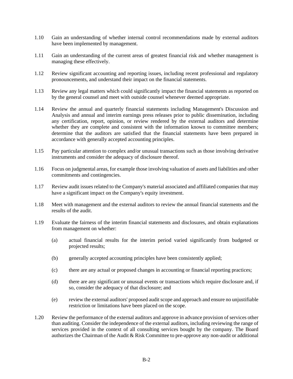- 1.10 Gain an understanding of whether internal control recommendations made by external auditors have been implemented by management.
- 1.11 Gain an understanding of the current areas of greatest financial risk and whether management is managing these effectively.
- 1.12 Review significant accounting and reporting issues, including recent professional and regulatory pronouncements, and understand their impact on the financial statements.
- 1.13 Review any legal matters which could significantly impact the financial statements as reported on by the general counsel and meet with outside counsel whenever deemed appropriate.
- 1.14 Review the annual and quarterly financial statements including Management's Discussion and Analysis and annual and interim earnings press releases prior to public dissemination, including any certification, report, opinion, or review rendered by the external auditors and determine whether they are complete and consistent with the information known to committee members; determine that the auditors are satisfied that the financial statements have been prepared in accordance with generally accepted accounting principles.
- 1.15 Pay particular attention to complex and/or unusual transactions such as those involving derivative instruments and consider the adequacy of disclosure thereof.
- 1.16 Focus on judgmental areas, for example those involving valuation of assets and liabilities and other commitments and contingencies.
- 1.17 Review audit issues related to the Company's material associated and affiliated companies that may have a significant impact on the Company's equity investment.
- 1.18 Meet with management and the external auditors to review the annual financial statements and the results of the audit.
- 1.19 Evaluate the fairness of the interim financial statements and disclosures, and obtain explanations from management on whether:
	- (a) actual financial results for the interim period varied significantly from budgeted or projected results;
	- (b) generally accepted accounting principles have been consistently applied;
	- (c) there are any actual or proposed changes in accounting or financial reporting practices;
	- (d) there are any significant or unusual events or transactions which require disclosure and, if so, consider the adequacy of that disclosure; and
	- (e) review the external auditors' proposed audit scope and approach and ensure no unjustifiable restriction or limitations have been placed on the scope.
- 1.20 Review the performance of the external auditors and approve in advance provision of services other than auditing. Consider the independence of the external auditors, including reviewing the range of services provided in the context of all consulting services bought by the company. The Board authorizes the Chairman of the Audit & Risk Committee to pre-approve any non-audit or additional